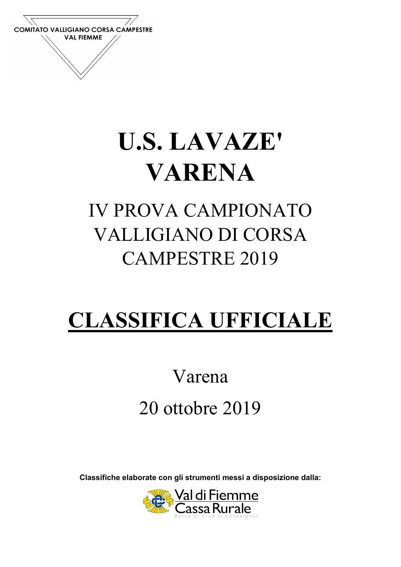

# U.S. LAVAZE' VARENA

### IV PROVA CAMPIONATO VALLIGIANO DI CORSA CAMPESTRE 2019

## CLASSIFICA UFFICIALE

## Varena 20 ottobre 2019

Classifiche elaborate con gli strumenti messi a disposizione dalla:

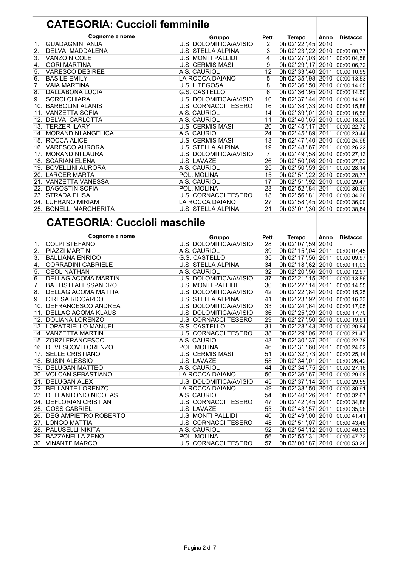| Cognome e nome<br>Gruppo<br>Pett.<br>Tempo<br>Anno<br><b>Distacco</b><br>U.S. DOLOMITICA/AVISIO<br>0h 02' 22",45 2010<br>1.<br><b>GUADAGNINI ANJA</b><br>$\overline{2}$<br>0h 02' 23",22 2010 00:00:00,77<br><b>U.S. STELLA ALPINA</b><br>3<br>2.<br>DELVAI MADDALENA<br>4<br>3.<br>VANZO NICOLE<br><b>U.S. MONTI PALLIDI</b><br>0h 02' 27",03 2011 00:00:04,58<br>0h 02' 29",17 2010 00:00:06,72<br><b>GORI MARTINA</b><br><b>U.S. CERMIS MASI</b><br>9<br>4.<br>0h 02' 33",40 2011 00:00:10,95<br>5.<br><b>VARESCO DESIREE</b><br>A.S. CAURIOL<br>12<br><b>BASILE EMILY</b><br>LA ROCCA DAIANO<br>5<br>0h 02' 35",98 2010 00:00:13,53<br>6.<br>8<br>0h 02' 36",50 2010 00:00:14,05<br><b>VAIA MARTINA</b><br>U.S. LITEGOSA<br>7.<br>6<br>0h 02' 36",95 2010 00:00:14,50<br>8.<br>DALLABONA LUCIA<br>G.S. CASTELLO<br>0h 02' 37",44 2010 00:00:14,98<br>9.<br><b>SORCI CHIARA</b><br>U.S. DOLOMITICA/AVISIO<br>10<br>16<br>0h 02' 38", 33 2010 00:00:15,88<br>10. BARBOLINI ALANIS<br><b>U.S. CORNACCI TESERO</b><br>14<br>0h 02' 39",01 2010 00:00:16,56<br>11. VANZETTA SOFIA<br>A.S. CAURIOL<br>0h 02' 40",65 2010 00:00:18,20<br>12. DELVAI CARLOTTA<br>A.S. CAURIOL<br>11<br>13. TERZER ILARY<br><b>U.S. CERMIS MASI</b><br>20<br>0h 02' 45",17 2011 00:00:22,72<br>24<br>0h 02' 45",89 2011 00:00:23,44<br>14. MORANDINI ANGELICA<br>A.S. CAURIOL<br>15. ROCCA ALICE<br><b>U.S. CERMIS MASI</b><br>13<br>0h 02' 47",40 2010 00:00:24,95<br><b>U.S. STELLA ALPINA</b><br>19<br>0h 02' 48", 67 2011<br>16. VARESCO AURORA<br>00:00:26,22<br>0h 02' 49",58 2010 00:00:27,13<br>17. MORANDINI LAURA<br>U.S. DOLOMITICA/AVISIO<br>$\overline{7}$<br>0h 02' 50",08 2010 00:00:27,62<br>18. SCARIAN ELENA<br>U.S. LAVAZĖ<br>26<br>19. BOVELLINI AURORA<br>A.S. CAURIOL<br>25<br>0h 02' 50",59 2011 00:00:28,14<br>20. LARGER MARTA<br>15<br>0h 02' 51",22 2010 00:00:28,77<br>POL. MOLINA<br>17<br>0h 02' 51",92 2010 00:00:29,47<br>21. VANZETTA VANESSA<br>A.S. CAURIOL<br>23<br>0h 02' 52",84 2011 00:00:30,39<br>22. DAGOSTIN SOFIA<br>POL. MOLINA<br>18<br>23. STRADA ELISA<br><b>U.S. CORNACCI TESERO</b><br>0h 02' 56",81 2010 00:00:34,36<br>24. LUFRANO MIRIAM<br>27<br>0h 02' 58",45 2010 00:00:36,00<br>LA ROCCA DAIANO<br>25. BONELLI MARGHERITA<br><b>U.S. STELLA ALPINA</b><br>21<br>0h 03' 01",30 2010 00:00:38,84<br><b>CATEGORIA: Cuccioli maschile</b><br>Cognome e nome<br>Gruppo<br>Pett.<br>Tempo<br>Anno<br><b>Distacco</b><br><b>COLPI STEFANO</b><br>28<br>0h 02' 07",59 2010<br>U.S. DOLOMITICA/AVISIO<br>1.<br>0h 02' 15",04 2011 00:00:07,45<br>A.S. CAURIOL<br>39<br><b>PIAZZI MARTIN</b><br>2.<br>35<br>0h 02' 17",56 2011 00:00:09,97<br><b>G.S. CASTELLO</b><br>3.<br><b>BALLIANA ENRICO</b><br>34<br>0h 02' 18",62 2010 00:00:11,03<br><b>CORRADINI GABRIELE</b><br>U.S. STELLA ALPINA<br>4.<br>32<br>5.<br>0h 02' 20",56 2010 00:00:12,97<br><b>CEOL NATHAN</b><br>A.S. CAURIOL<br>37<br>0h 02' 21",15 2011 00:00:13,56<br>6.<br>DELLAGIACOMA MARTIN<br>U.S. DOLOMITICA/AVISIO<br>0h 02' 22", 14 2011 00:00:14, 55<br>30<br>7.<br><b>BATTISTI ALESSANDRO</b><br><b>U.S. MONTI PALLIDI</b><br>8.<br><b>DELLAGIACOMA MATTIA</b><br>U.S. DOLOMITICA/AVISIO<br>42<br>0h 02' 22",84 2010 00:00:15,25<br>0h 02' 23",92 2010 00:00:16,33<br><b>CIRESA RICCARDO</b><br><b>U.S. STELLA ALPINA</b><br>41<br>9.<br>0h 02' 24",64 2010 00:00:17,05<br>10. DEFRANCESCO ANDREA<br>U.S. DOLOMITICA/AVISIO<br>33<br>36<br>0h 02' 25", 29 2010 00:00:17, 70<br>11.<br><b>DELLAGIACOMA KLAUS</b><br>U.S. DOLOMITICA/AVISIO<br>0h 02' 27",50 2010 00:00:19,91<br>12. DOLIANA LORENZO<br><b>U.S. CORNACCI TESERO</b><br>29<br>0h 02' 28",43 2010 00:00:20,84<br>13. LOPATRIELLO MANUEL<br>G.S. CASTELLO<br>31<br>0h 02' 29",06 2010 00:00:21,47<br>14. VANZETTA MARTIN<br>38<br><b>U.S. CORNACCI TESERO</b><br>0h 02' 30", 37 2011 00:00:22, 78<br>15. ZORZI FRANCESCO<br>43<br>A.S. CAURIOL<br>0h 02' 31",60 2011 00:00:24,02<br>16. DEVESCOVI LORENZO<br>POL. MOLINA<br>46<br>0h 02' 32", 73 2011 00:00:25, 14<br>17. SELLE CRISTIANO<br><b>U.S. CERMIS MASI</b><br>51<br>58<br>0h 02' 34",01 2011 00:00:26,42<br>18. BUSIN ALESSIO<br>U.S. LAVAZE<br>0h 02' 34", 75 2011 00:00:27, 16<br>19. DELUGAN MATTEO<br>A.S. CAURIOL<br>44<br>0h 02' 36",67 2010 00:00:29,08<br>20. VOLCAN SEBASTIANO<br>LA ROCCA DAIANO<br>50<br>0h 02' 37",14 2011 00:00:29,55<br>21. DELUGAN ALEX<br>45<br>U.S. DOLOMITICA/AVISIO<br>0h 02' 38",50 2010 00:00:30,91<br>22. BELLANTE LORENZO<br>LA ROCCA DAIANO<br>49<br>0h 02' 40",26 2011 00:00:32,67<br>54<br>23. DELLANTONIO NICOLAS<br>A.S. CAURIOL<br>0h 02' 42",45 2011 00:00:34,86<br>24. DEFLORIAN CRISTIAN<br><b>U.S. CORNACCI TESERO</b><br>47<br>25. GOSS GABRIEL<br>53<br>0h 02' 43",57 2011 00:00:35,98<br>U.S. LAVAZE<br>0h 02' 49",00 2010 00:00:41,41<br>26. DEGIAMPIETRO ROBERTO<br><b>U.S. MONTI PALLIDI</b><br>40<br>0h 02' 51",07 2011 00:00:43,48<br>27. LONGO MATTIA<br><b>U.S. CORNACCI TESERO</b><br>48<br>28. PALUSELLI NIKITA<br>52<br>0h 02' 54",12 2010 00:00:46,53<br>A.S. CAURIOL<br>56<br>0h 02' 55", 31 2011 00:00:47, 72<br>29. BAZZANELLA ZENO<br>POL. MOLINA | <b>CATEGORIA: Cuccioli femminile</b> |  |  |  |
|-------------------------------------------------------------------------------------------------------------------------------------------------------------------------------------------------------------------------------------------------------------------------------------------------------------------------------------------------------------------------------------------------------------------------------------------------------------------------------------------------------------------------------------------------------------------------------------------------------------------------------------------------------------------------------------------------------------------------------------------------------------------------------------------------------------------------------------------------------------------------------------------------------------------------------------------------------------------------------------------------------------------------------------------------------------------------------------------------------------------------------------------------------------------------------------------------------------------------------------------------------------------------------------------------------------------------------------------------------------------------------------------------------------------------------------------------------------------------------------------------------------------------------------------------------------------------------------------------------------------------------------------------------------------------------------------------------------------------------------------------------------------------------------------------------------------------------------------------------------------------------------------------------------------------------------------------------------------------------------------------------------------------------------------------------------------------------------------------------------------------------------------------------------------------------------------------------------------------------------------------------------------------------------------------------------------------------------------------------------------------------------------------------------------------------------------------------------------------------------------------------------------------------------------------------------------------------------------------------------------------------------------------------------------------------------------------------------------------------------------------------------------------------------------------------------------------------------------------------------------------------------------------------------------------------------------------------------------------------------------------------------------------------------------------------------------------------------------------------------------------------------------------------------------------------------------------------------------------------------------------------------------------------------------------------------------------------------------------------------------------------------------------------------------------------------------------------------------------------------------------------------------------------------------------------------------------------------------------------------------------------------------------------------------------------------------------------------------------------------------------------------------------------------------------------------------------------------------------------------------------------------------------------------------------------------------------------------------------------------------------------------------------------------------------------------------------------------------------------------------------------------------------------------------------------------------------------------------------------------------------------------------------------------------------------------------------------------------------------------------------------------------------------------------------------------------------------------------------------------------------------------------------------------------------------------------------------------------------------------------------------------------------------------------------------------------------------------------------------------------------------------------------------------------------------------------------------------------------------------------------------------------------------------------------------------------------------------------------------------------------------------------------------------------------------------------------------------------------------------------------------------------|--------------------------------------|--|--|--|
|                                                                                                                                                                                                                                                                                                                                                                                                                                                                                                                                                                                                                                                                                                                                                                                                                                                                                                                                                                                                                                                                                                                                                                                                                                                                                                                                                                                                                                                                                                                                                                                                                                                                                                                                                                                                                                                                                                                                                                                                                                                                                                                                                                                                                                                                                                                                                                                                                                                                                                                                                                                                                                                                                                                                                                                                                                                                                                                                                                                                                                                                                                                                                                                                                                                                                                                                                                                                                                                                                                                                                                                                                                                                                                                                                                                                                                                                                                                                                                                                                                                                                                                                                                                                                                                                                                                                                                                                                                                                                                                                                                                                                                                                                                                                                                                                                                                                                                                                                                                                                                                                                                                                           |                                      |  |  |  |
|                                                                                                                                                                                                                                                                                                                                                                                                                                                                                                                                                                                                                                                                                                                                                                                                                                                                                                                                                                                                                                                                                                                                                                                                                                                                                                                                                                                                                                                                                                                                                                                                                                                                                                                                                                                                                                                                                                                                                                                                                                                                                                                                                                                                                                                                                                                                                                                                                                                                                                                                                                                                                                                                                                                                                                                                                                                                                                                                                                                                                                                                                                                                                                                                                                                                                                                                                                                                                                                                                                                                                                                                                                                                                                                                                                                                                                                                                                                                                                                                                                                                                                                                                                                                                                                                                                                                                                                                                                                                                                                                                                                                                                                                                                                                                                                                                                                                                                                                                                                                                                                                                                                                           |                                      |  |  |  |
|                                                                                                                                                                                                                                                                                                                                                                                                                                                                                                                                                                                                                                                                                                                                                                                                                                                                                                                                                                                                                                                                                                                                                                                                                                                                                                                                                                                                                                                                                                                                                                                                                                                                                                                                                                                                                                                                                                                                                                                                                                                                                                                                                                                                                                                                                                                                                                                                                                                                                                                                                                                                                                                                                                                                                                                                                                                                                                                                                                                                                                                                                                                                                                                                                                                                                                                                                                                                                                                                                                                                                                                                                                                                                                                                                                                                                                                                                                                                                                                                                                                                                                                                                                                                                                                                                                                                                                                                                                                                                                                                                                                                                                                                                                                                                                                                                                                                                                                                                                                                                                                                                                                                           |                                      |  |  |  |
|                                                                                                                                                                                                                                                                                                                                                                                                                                                                                                                                                                                                                                                                                                                                                                                                                                                                                                                                                                                                                                                                                                                                                                                                                                                                                                                                                                                                                                                                                                                                                                                                                                                                                                                                                                                                                                                                                                                                                                                                                                                                                                                                                                                                                                                                                                                                                                                                                                                                                                                                                                                                                                                                                                                                                                                                                                                                                                                                                                                                                                                                                                                                                                                                                                                                                                                                                                                                                                                                                                                                                                                                                                                                                                                                                                                                                                                                                                                                                                                                                                                                                                                                                                                                                                                                                                                                                                                                                                                                                                                                                                                                                                                                                                                                                                                                                                                                                                                                                                                                                                                                                                                                           |                                      |  |  |  |
|                                                                                                                                                                                                                                                                                                                                                                                                                                                                                                                                                                                                                                                                                                                                                                                                                                                                                                                                                                                                                                                                                                                                                                                                                                                                                                                                                                                                                                                                                                                                                                                                                                                                                                                                                                                                                                                                                                                                                                                                                                                                                                                                                                                                                                                                                                                                                                                                                                                                                                                                                                                                                                                                                                                                                                                                                                                                                                                                                                                                                                                                                                                                                                                                                                                                                                                                                                                                                                                                                                                                                                                                                                                                                                                                                                                                                                                                                                                                                                                                                                                                                                                                                                                                                                                                                                                                                                                                                                                                                                                                                                                                                                                                                                                                                                                                                                                                                                                                                                                                                                                                                                                                           |                                      |  |  |  |
|                                                                                                                                                                                                                                                                                                                                                                                                                                                                                                                                                                                                                                                                                                                                                                                                                                                                                                                                                                                                                                                                                                                                                                                                                                                                                                                                                                                                                                                                                                                                                                                                                                                                                                                                                                                                                                                                                                                                                                                                                                                                                                                                                                                                                                                                                                                                                                                                                                                                                                                                                                                                                                                                                                                                                                                                                                                                                                                                                                                                                                                                                                                                                                                                                                                                                                                                                                                                                                                                                                                                                                                                                                                                                                                                                                                                                                                                                                                                                                                                                                                                                                                                                                                                                                                                                                                                                                                                                                                                                                                                                                                                                                                                                                                                                                                                                                                                                                                                                                                                                                                                                                                                           |                                      |  |  |  |
|                                                                                                                                                                                                                                                                                                                                                                                                                                                                                                                                                                                                                                                                                                                                                                                                                                                                                                                                                                                                                                                                                                                                                                                                                                                                                                                                                                                                                                                                                                                                                                                                                                                                                                                                                                                                                                                                                                                                                                                                                                                                                                                                                                                                                                                                                                                                                                                                                                                                                                                                                                                                                                                                                                                                                                                                                                                                                                                                                                                                                                                                                                                                                                                                                                                                                                                                                                                                                                                                                                                                                                                                                                                                                                                                                                                                                                                                                                                                                                                                                                                                                                                                                                                                                                                                                                                                                                                                                                                                                                                                                                                                                                                                                                                                                                                                                                                                                                                                                                                                                                                                                                                                           |                                      |  |  |  |
|                                                                                                                                                                                                                                                                                                                                                                                                                                                                                                                                                                                                                                                                                                                                                                                                                                                                                                                                                                                                                                                                                                                                                                                                                                                                                                                                                                                                                                                                                                                                                                                                                                                                                                                                                                                                                                                                                                                                                                                                                                                                                                                                                                                                                                                                                                                                                                                                                                                                                                                                                                                                                                                                                                                                                                                                                                                                                                                                                                                                                                                                                                                                                                                                                                                                                                                                                                                                                                                                                                                                                                                                                                                                                                                                                                                                                                                                                                                                                                                                                                                                                                                                                                                                                                                                                                                                                                                                                                                                                                                                                                                                                                                                                                                                                                                                                                                                                                                                                                                                                                                                                                                                           |                                      |  |  |  |
|                                                                                                                                                                                                                                                                                                                                                                                                                                                                                                                                                                                                                                                                                                                                                                                                                                                                                                                                                                                                                                                                                                                                                                                                                                                                                                                                                                                                                                                                                                                                                                                                                                                                                                                                                                                                                                                                                                                                                                                                                                                                                                                                                                                                                                                                                                                                                                                                                                                                                                                                                                                                                                                                                                                                                                                                                                                                                                                                                                                                                                                                                                                                                                                                                                                                                                                                                                                                                                                                                                                                                                                                                                                                                                                                                                                                                                                                                                                                                                                                                                                                                                                                                                                                                                                                                                                                                                                                                                                                                                                                                                                                                                                                                                                                                                                                                                                                                                                                                                                                                                                                                                                                           |                                      |  |  |  |
|                                                                                                                                                                                                                                                                                                                                                                                                                                                                                                                                                                                                                                                                                                                                                                                                                                                                                                                                                                                                                                                                                                                                                                                                                                                                                                                                                                                                                                                                                                                                                                                                                                                                                                                                                                                                                                                                                                                                                                                                                                                                                                                                                                                                                                                                                                                                                                                                                                                                                                                                                                                                                                                                                                                                                                                                                                                                                                                                                                                                                                                                                                                                                                                                                                                                                                                                                                                                                                                                                                                                                                                                                                                                                                                                                                                                                                                                                                                                                                                                                                                                                                                                                                                                                                                                                                                                                                                                                                                                                                                                                                                                                                                                                                                                                                                                                                                                                                                                                                                                                                                                                                                                           |                                      |  |  |  |
|                                                                                                                                                                                                                                                                                                                                                                                                                                                                                                                                                                                                                                                                                                                                                                                                                                                                                                                                                                                                                                                                                                                                                                                                                                                                                                                                                                                                                                                                                                                                                                                                                                                                                                                                                                                                                                                                                                                                                                                                                                                                                                                                                                                                                                                                                                                                                                                                                                                                                                                                                                                                                                                                                                                                                                                                                                                                                                                                                                                                                                                                                                                                                                                                                                                                                                                                                                                                                                                                                                                                                                                                                                                                                                                                                                                                                                                                                                                                                                                                                                                                                                                                                                                                                                                                                                                                                                                                                                                                                                                                                                                                                                                                                                                                                                                                                                                                                                                                                                                                                                                                                                                                           |                                      |  |  |  |
|                                                                                                                                                                                                                                                                                                                                                                                                                                                                                                                                                                                                                                                                                                                                                                                                                                                                                                                                                                                                                                                                                                                                                                                                                                                                                                                                                                                                                                                                                                                                                                                                                                                                                                                                                                                                                                                                                                                                                                                                                                                                                                                                                                                                                                                                                                                                                                                                                                                                                                                                                                                                                                                                                                                                                                                                                                                                                                                                                                                                                                                                                                                                                                                                                                                                                                                                                                                                                                                                                                                                                                                                                                                                                                                                                                                                                                                                                                                                                                                                                                                                                                                                                                                                                                                                                                                                                                                                                                                                                                                                                                                                                                                                                                                                                                                                                                                                                                                                                                                                                                                                                                                                           |                                      |  |  |  |
|                                                                                                                                                                                                                                                                                                                                                                                                                                                                                                                                                                                                                                                                                                                                                                                                                                                                                                                                                                                                                                                                                                                                                                                                                                                                                                                                                                                                                                                                                                                                                                                                                                                                                                                                                                                                                                                                                                                                                                                                                                                                                                                                                                                                                                                                                                                                                                                                                                                                                                                                                                                                                                                                                                                                                                                                                                                                                                                                                                                                                                                                                                                                                                                                                                                                                                                                                                                                                                                                                                                                                                                                                                                                                                                                                                                                                                                                                                                                                                                                                                                                                                                                                                                                                                                                                                                                                                                                                                                                                                                                                                                                                                                                                                                                                                                                                                                                                                                                                                                                                                                                                                                                           |                                      |  |  |  |
|                                                                                                                                                                                                                                                                                                                                                                                                                                                                                                                                                                                                                                                                                                                                                                                                                                                                                                                                                                                                                                                                                                                                                                                                                                                                                                                                                                                                                                                                                                                                                                                                                                                                                                                                                                                                                                                                                                                                                                                                                                                                                                                                                                                                                                                                                                                                                                                                                                                                                                                                                                                                                                                                                                                                                                                                                                                                                                                                                                                                                                                                                                                                                                                                                                                                                                                                                                                                                                                                                                                                                                                                                                                                                                                                                                                                                                                                                                                                                                                                                                                                                                                                                                                                                                                                                                                                                                                                                                                                                                                                                                                                                                                                                                                                                                                                                                                                                                                                                                                                                                                                                                                                           |                                      |  |  |  |
|                                                                                                                                                                                                                                                                                                                                                                                                                                                                                                                                                                                                                                                                                                                                                                                                                                                                                                                                                                                                                                                                                                                                                                                                                                                                                                                                                                                                                                                                                                                                                                                                                                                                                                                                                                                                                                                                                                                                                                                                                                                                                                                                                                                                                                                                                                                                                                                                                                                                                                                                                                                                                                                                                                                                                                                                                                                                                                                                                                                                                                                                                                                                                                                                                                                                                                                                                                                                                                                                                                                                                                                                                                                                                                                                                                                                                                                                                                                                                                                                                                                                                                                                                                                                                                                                                                                                                                                                                                                                                                                                                                                                                                                                                                                                                                                                                                                                                                                                                                                                                                                                                                                                           |                                      |  |  |  |
|                                                                                                                                                                                                                                                                                                                                                                                                                                                                                                                                                                                                                                                                                                                                                                                                                                                                                                                                                                                                                                                                                                                                                                                                                                                                                                                                                                                                                                                                                                                                                                                                                                                                                                                                                                                                                                                                                                                                                                                                                                                                                                                                                                                                                                                                                                                                                                                                                                                                                                                                                                                                                                                                                                                                                                                                                                                                                                                                                                                                                                                                                                                                                                                                                                                                                                                                                                                                                                                                                                                                                                                                                                                                                                                                                                                                                                                                                                                                                                                                                                                                                                                                                                                                                                                                                                                                                                                                                                                                                                                                                                                                                                                                                                                                                                                                                                                                                                                                                                                                                                                                                                                                           |                                      |  |  |  |
|                                                                                                                                                                                                                                                                                                                                                                                                                                                                                                                                                                                                                                                                                                                                                                                                                                                                                                                                                                                                                                                                                                                                                                                                                                                                                                                                                                                                                                                                                                                                                                                                                                                                                                                                                                                                                                                                                                                                                                                                                                                                                                                                                                                                                                                                                                                                                                                                                                                                                                                                                                                                                                                                                                                                                                                                                                                                                                                                                                                                                                                                                                                                                                                                                                                                                                                                                                                                                                                                                                                                                                                                                                                                                                                                                                                                                                                                                                                                                                                                                                                                                                                                                                                                                                                                                                                                                                                                                                                                                                                                                                                                                                                                                                                                                                                                                                                                                                                                                                                                                                                                                                                                           |                                      |  |  |  |
|                                                                                                                                                                                                                                                                                                                                                                                                                                                                                                                                                                                                                                                                                                                                                                                                                                                                                                                                                                                                                                                                                                                                                                                                                                                                                                                                                                                                                                                                                                                                                                                                                                                                                                                                                                                                                                                                                                                                                                                                                                                                                                                                                                                                                                                                                                                                                                                                                                                                                                                                                                                                                                                                                                                                                                                                                                                                                                                                                                                                                                                                                                                                                                                                                                                                                                                                                                                                                                                                                                                                                                                                                                                                                                                                                                                                                                                                                                                                                                                                                                                                                                                                                                                                                                                                                                                                                                                                                                                                                                                                                                                                                                                                                                                                                                                                                                                                                                                                                                                                                                                                                                                                           |                                      |  |  |  |
|                                                                                                                                                                                                                                                                                                                                                                                                                                                                                                                                                                                                                                                                                                                                                                                                                                                                                                                                                                                                                                                                                                                                                                                                                                                                                                                                                                                                                                                                                                                                                                                                                                                                                                                                                                                                                                                                                                                                                                                                                                                                                                                                                                                                                                                                                                                                                                                                                                                                                                                                                                                                                                                                                                                                                                                                                                                                                                                                                                                                                                                                                                                                                                                                                                                                                                                                                                                                                                                                                                                                                                                                                                                                                                                                                                                                                                                                                                                                                                                                                                                                                                                                                                                                                                                                                                                                                                                                                                                                                                                                                                                                                                                                                                                                                                                                                                                                                                                                                                                                                                                                                                                                           |                                      |  |  |  |
|                                                                                                                                                                                                                                                                                                                                                                                                                                                                                                                                                                                                                                                                                                                                                                                                                                                                                                                                                                                                                                                                                                                                                                                                                                                                                                                                                                                                                                                                                                                                                                                                                                                                                                                                                                                                                                                                                                                                                                                                                                                                                                                                                                                                                                                                                                                                                                                                                                                                                                                                                                                                                                                                                                                                                                                                                                                                                                                                                                                                                                                                                                                                                                                                                                                                                                                                                                                                                                                                                                                                                                                                                                                                                                                                                                                                                                                                                                                                                                                                                                                                                                                                                                                                                                                                                                                                                                                                                                                                                                                                                                                                                                                                                                                                                                                                                                                                                                                                                                                                                                                                                                                                           |                                      |  |  |  |
|                                                                                                                                                                                                                                                                                                                                                                                                                                                                                                                                                                                                                                                                                                                                                                                                                                                                                                                                                                                                                                                                                                                                                                                                                                                                                                                                                                                                                                                                                                                                                                                                                                                                                                                                                                                                                                                                                                                                                                                                                                                                                                                                                                                                                                                                                                                                                                                                                                                                                                                                                                                                                                                                                                                                                                                                                                                                                                                                                                                                                                                                                                                                                                                                                                                                                                                                                                                                                                                                                                                                                                                                                                                                                                                                                                                                                                                                                                                                                                                                                                                                                                                                                                                                                                                                                                                                                                                                                                                                                                                                                                                                                                                                                                                                                                                                                                                                                                                                                                                                                                                                                                                                           |                                      |  |  |  |
|                                                                                                                                                                                                                                                                                                                                                                                                                                                                                                                                                                                                                                                                                                                                                                                                                                                                                                                                                                                                                                                                                                                                                                                                                                                                                                                                                                                                                                                                                                                                                                                                                                                                                                                                                                                                                                                                                                                                                                                                                                                                                                                                                                                                                                                                                                                                                                                                                                                                                                                                                                                                                                                                                                                                                                                                                                                                                                                                                                                                                                                                                                                                                                                                                                                                                                                                                                                                                                                                                                                                                                                                                                                                                                                                                                                                                                                                                                                                                                                                                                                                                                                                                                                                                                                                                                                                                                                                                                                                                                                                                                                                                                                                                                                                                                                                                                                                                                                                                                                                                                                                                                                                           |                                      |  |  |  |
|                                                                                                                                                                                                                                                                                                                                                                                                                                                                                                                                                                                                                                                                                                                                                                                                                                                                                                                                                                                                                                                                                                                                                                                                                                                                                                                                                                                                                                                                                                                                                                                                                                                                                                                                                                                                                                                                                                                                                                                                                                                                                                                                                                                                                                                                                                                                                                                                                                                                                                                                                                                                                                                                                                                                                                                                                                                                                                                                                                                                                                                                                                                                                                                                                                                                                                                                                                                                                                                                                                                                                                                                                                                                                                                                                                                                                                                                                                                                                                                                                                                                                                                                                                                                                                                                                                                                                                                                                                                                                                                                                                                                                                                                                                                                                                                                                                                                                                                                                                                                                                                                                                                                           |                                      |  |  |  |
|                                                                                                                                                                                                                                                                                                                                                                                                                                                                                                                                                                                                                                                                                                                                                                                                                                                                                                                                                                                                                                                                                                                                                                                                                                                                                                                                                                                                                                                                                                                                                                                                                                                                                                                                                                                                                                                                                                                                                                                                                                                                                                                                                                                                                                                                                                                                                                                                                                                                                                                                                                                                                                                                                                                                                                                                                                                                                                                                                                                                                                                                                                                                                                                                                                                                                                                                                                                                                                                                                                                                                                                                                                                                                                                                                                                                                                                                                                                                                                                                                                                                                                                                                                                                                                                                                                                                                                                                                                                                                                                                                                                                                                                                                                                                                                                                                                                                                                                                                                                                                                                                                                                                           |                                      |  |  |  |
|                                                                                                                                                                                                                                                                                                                                                                                                                                                                                                                                                                                                                                                                                                                                                                                                                                                                                                                                                                                                                                                                                                                                                                                                                                                                                                                                                                                                                                                                                                                                                                                                                                                                                                                                                                                                                                                                                                                                                                                                                                                                                                                                                                                                                                                                                                                                                                                                                                                                                                                                                                                                                                                                                                                                                                                                                                                                                                                                                                                                                                                                                                                                                                                                                                                                                                                                                                                                                                                                                                                                                                                                                                                                                                                                                                                                                                                                                                                                                                                                                                                                                                                                                                                                                                                                                                                                                                                                                                                                                                                                                                                                                                                                                                                                                                                                                                                                                                                                                                                                                                                                                                                                           |                                      |  |  |  |
|                                                                                                                                                                                                                                                                                                                                                                                                                                                                                                                                                                                                                                                                                                                                                                                                                                                                                                                                                                                                                                                                                                                                                                                                                                                                                                                                                                                                                                                                                                                                                                                                                                                                                                                                                                                                                                                                                                                                                                                                                                                                                                                                                                                                                                                                                                                                                                                                                                                                                                                                                                                                                                                                                                                                                                                                                                                                                                                                                                                                                                                                                                                                                                                                                                                                                                                                                                                                                                                                                                                                                                                                                                                                                                                                                                                                                                                                                                                                                                                                                                                                                                                                                                                                                                                                                                                                                                                                                                                                                                                                                                                                                                                                                                                                                                                                                                                                                                                                                                                                                                                                                                                                           |                                      |  |  |  |
|                                                                                                                                                                                                                                                                                                                                                                                                                                                                                                                                                                                                                                                                                                                                                                                                                                                                                                                                                                                                                                                                                                                                                                                                                                                                                                                                                                                                                                                                                                                                                                                                                                                                                                                                                                                                                                                                                                                                                                                                                                                                                                                                                                                                                                                                                                                                                                                                                                                                                                                                                                                                                                                                                                                                                                                                                                                                                                                                                                                                                                                                                                                                                                                                                                                                                                                                                                                                                                                                                                                                                                                                                                                                                                                                                                                                                                                                                                                                                                                                                                                                                                                                                                                                                                                                                                                                                                                                                                                                                                                                                                                                                                                                                                                                                                                                                                                                                                                                                                                                                                                                                                                                           |                                      |  |  |  |
|                                                                                                                                                                                                                                                                                                                                                                                                                                                                                                                                                                                                                                                                                                                                                                                                                                                                                                                                                                                                                                                                                                                                                                                                                                                                                                                                                                                                                                                                                                                                                                                                                                                                                                                                                                                                                                                                                                                                                                                                                                                                                                                                                                                                                                                                                                                                                                                                                                                                                                                                                                                                                                                                                                                                                                                                                                                                                                                                                                                                                                                                                                                                                                                                                                                                                                                                                                                                                                                                                                                                                                                                                                                                                                                                                                                                                                                                                                                                                                                                                                                                                                                                                                                                                                                                                                                                                                                                                                                                                                                                                                                                                                                                                                                                                                                                                                                                                                                                                                                                                                                                                                                                           |                                      |  |  |  |
|                                                                                                                                                                                                                                                                                                                                                                                                                                                                                                                                                                                                                                                                                                                                                                                                                                                                                                                                                                                                                                                                                                                                                                                                                                                                                                                                                                                                                                                                                                                                                                                                                                                                                                                                                                                                                                                                                                                                                                                                                                                                                                                                                                                                                                                                                                                                                                                                                                                                                                                                                                                                                                                                                                                                                                                                                                                                                                                                                                                                                                                                                                                                                                                                                                                                                                                                                                                                                                                                                                                                                                                                                                                                                                                                                                                                                                                                                                                                                                                                                                                                                                                                                                                                                                                                                                                                                                                                                                                                                                                                                                                                                                                                                                                                                                                                                                                                                                                                                                                                                                                                                                                                           |                                      |  |  |  |
|                                                                                                                                                                                                                                                                                                                                                                                                                                                                                                                                                                                                                                                                                                                                                                                                                                                                                                                                                                                                                                                                                                                                                                                                                                                                                                                                                                                                                                                                                                                                                                                                                                                                                                                                                                                                                                                                                                                                                                                                                                                                                                                                                                                                                                                                                                                                                                                                                                                                                                                                                                                                                                                                                                                                                                                                                                                                                                                                                                                                                                                                                                                                                                                                                                                                                                                                                                                                                                                                                                                                                                                                                                                                                                                                                                                                                                                                                                                                                                                                                                                                                                                                                                                                                                                                                                                                                                                                                                                                                                                                                                                                                                                                                                                                                                                                                                                                                                                                                                                                                                                                                                                                           |                                      |  |  |  |
|                                                                                                                                                                                                                                                                                                                                                                                                                                                                                                                                                                                                                                                                                                                                                                                                                                                                                                                                                                                                                                                                                                                                                                                                                                                                                                                                                                                                                                                                                                                                                                                                                                                                                                                                                                                                                                                                                                                                                                                                                                                                                                                                                                                                                                                                                                                                                                                                                                                                                                                                                                                                                                                                                                                                                                                                                                                                                                                                                                                                                                                                                                                                                                                                                                                                                                                                                                                                                                                                                                                                                                                                                                                                                                                                                                                                                                                                                                                                                                                                                                                                                                                                                                                                                                                                                                                                                                                                                                                                                                                                                                                                                                                                                                                                                                                                                                                                                                                                                                                                                                                                                                                                           |                                      |  |  |  |
|                                                                                                                                                                                                                                                                                                                                                                                                                                                                                                                                                                                                                                                                                                                                                                                                                                                                                                                                                                                                                                                                                                                                                                                                                                                                                                                                                                                                                                                                                                                                                                                                                                                                                                                                                                                                                                                                                                                                                                                                                                                                                                                                                                                                                                                                                                                                                                                                                                                                                                                                                                                                                                                                                                                                                                                                                                                                                                                                                                                                                                                                                                                                                                                                                                                                                                                                                                                                                                                                                                                                                                                                                                                                                                                                                                                                                                                                                                                                                                                                                                                                                                                                                                                                                                                                                                                                                                                                                                                                                                                                                                                                                                                                                                                                                                                                                                                                                                                                                                                                                                                                                                                                           |                                      |  |  |  |
|                                                                                                                                                                                                                                                                                                                                                                                                                                                                                                                                                                                                                                                                                                                                                                                                                                                                                                                                                                                                                                                                                                                                                                                                                                                                                                                                                                                                                                                                                                                                                                                                                                                                                                                                                                                                                                                                                                                                                                                                                                                                                                                                                                                                                                                                                                                                                                                                                                                                                                                                                                                                                                                                                                                                                                                                                                                                                                                                                                                                                                                                                                                                                                                                                                                                                                                                                                                                                                                                                                                                                                                                                                                                                                                                                                                                                                                                                                                                                                                                                                                                                                                                                                                                                                                                                                                                                                                                                                                                                                                                                                                                                                                                                                                                                                                                                                                                                                                                                                                                                                                                                                                                           |                                      |  |  |  |
|                                                                                                                                                                                                                                                                                                                                                                                                                                                                                                                                                                                                                                                                                                                                                                                                                                                                                                                                                                                                                                                                                                                                                                                                                                                                                                                                                                                                                                                                                                                                                                                                                                                                                                                                                                                                                                                                                                                                                                                                                                                                                                                                                                                                                                                                                                                                                                                                                                                                                                                                                                                                                                                                                                                                                                                                                                                                                                                                                                                                                                                                                                                                                                                                                                                                                                                                                                                                                                                                                                                                                                                                                                                                                                                                                                                                                                                                                                                                                                                                                                                                                                                                                                                                                                                                                                                                                                                                                                                                                                                                                                                                                                                                                                                                                                                                                                                                                                                                                                                                                                                                                                                                           |                                      |  |  |  |
|                                                                                                                                                                                                                                                                                                                                                                                                                                                                                                                                                                                                                                                                                                                                                                                                                                                                                                                                                                                                                                                                                                                                                                                                                                                                                                                                                                                                                                                                                                                                                                                                                                                                                                                                                                                                                                                                                                                                                                                                                                                                                                                                                                                                                                                                                                                                                                                                                                                                                                                                                                                                                                                                                                                                                                                                                                                                                                                                                                                                                                                                                                                                                                                                                                                                                                                                                                                                                                                                                                                                                                                                                                                                                                                                                                                                                                                                                                                                                                                                                                                                                                                                                                                                                                                                                                                                                                                                                                                                                                                                                                                                                                                                                                                                                                                                                                                                                                                                                                                                                                                                                                                                           |                                      |  |  |  |
|                                                                                                                                                                                                                                                                                                                                                                                                                                                                                                                                                                                                                                                                                                                                                                                                                                                                                                                                                                                                                                                                                                                                                                                                                                                                                                                                                                                                                                                                                                                                                                                                                                                                                                                                                                                                                                                                                                                                                                                                                                                                                                                                                                                                                                                                                                                                                                                                                                                                                                                                                                                                                                                                                                                                                                                                                                                                                                                                                                                                                                                                                                                                                                                                                                                                                                                                                                                                                                                                                                                                                                                                                                                                                                                                                                                                                                                                                                                                                                                                                                                                                                                                                                                                                                                                                                                                                                                                                                                                                                                                                                                                                                                                                                                                                                                                                                                                                                                                                                                                                                                                                                                                           |                                      |  |  |  |
|                                                                                                                                                                                                                                                                                                                                                                                                                                                                                                                                                                                                                                                                                                                                                                                                                                                                                                                                                                                                                                                                                                                                                                                                                                                                                                                                                                                                                                                                                                                                                                                                                                                                                                                                                                                                                                                                                                                                                                                                                                                                                                                                                                                                                                                                                                                                                                                                                                                                                                                                                                                                                                                                                                                                                                                                                                                                                                                                                                                                                                                                                                                                                                                                                                                                                                                                                                                                                                                                                                                                                                                                                                                                                                                                                                                                                                                                                                                                                                                                                                                                                                                                                                                                                                                                                                                                                                                                                                                                                                                                                                                                                                                                                                                                                                                                                                                                                                                                                                                                                                                                                                                                           |                                      |  |  |  |
|                                                                                                                                                                                                                                                                                                                                                                                                                                                                                                                                                                                                                                                                                                                                                                                                                                                                                                                                                                                                                                                                                                                                                                                                                                                                                                                                                                                                                                                                                                                                                                                                                                                                                                                                                                                                                                                                                                                                                                                                                                                                                                                                                                                                                                                                                                                                                                                                                                                                                                                                                                                                                                                                                                                                                                                                                                                                                                                                                                                                                                                                                                                                                                                                                                                                                                                                                                                                                                                                                                                                                                                                                                                                                                                                                                                                                                                                                                                                                                                                                                                                                                                                                                                                                                                                                                                                                                                                                                                                                                                                                                                                                                                                                                                                                                                                                                                                                                                                                                                                                                                                                                                                           |                                      |  |  |  |
|                                                                                                                                                                                                                                                                                                                                                                                                                                                                                                                                                                                                                                                                                                                                                                                                                                                                                                                                                                                                                                                                                                                                                                                                                                                                                                                                                                                                                                                                                                                                                                                                                                                                                                                                                                                                                                                                                                                                                                                                                                                                                                                                                                                                                                                                                                                                                                                                                                                                                                                                                                                                                                                                                                                                                                                                                                                                                                                                                                                                                                                                                                                                                                                                                                                                                                                                                                                                                                                                                                                                                                                                                                                                                                                                                                                                                                                                                                                                                                                                                                                                                                                                                                                                                                                                                                                                                                                                                                                                                                                                                                                                                                                                                                                                                                                                                                                                                                                                                                                                                                                                                                                                           |                                      |  |  |  |
|                                                                                                                                                                                                                                                                                                                                                                                                                                                                                                                                                                                                                                                                                                                                                                                                                                                                                                                                                                                                                                                                                                                                                                                                                                                                                                                                                                                                                                                                                                                                                                                                                                                                                                                                                                                                                                                                                                                                                                                                                                                                                                                                                                                                                                                                                                                                                                                                                                                                                                                                                                                                                                                                                                                                                                                                                                                                                                                                                                                                                                                                                                                                                                                                                                                                                                                                                                                                                                                                                                                                                                                                                                                                                                                                                                                                                                                                                                                                                                                                                                                                                                                                                                                                                                                                                                                                                                                                                                                                                                                                                                                                                                                                                                                                                                                                                                                                                                                                                                                                                                                                                                                                           |                                      |  |  |  |
|                                                                                                                                                                                                                                                                                                                                                                                                                                                                                                                                                                                                                                                                                                                                                                                                                                                                                                                                                                                                                                                                                                                                                                                                                                                                                                                                                                                                                                                                                                                                                                                                                                                                                                                                                                                                                                                                                                                                                                                                                                                                                                                                                                                                                                                                                                                                                                                                                                                                                                                                                                                                                                                                                                                                                                                                                                                                                                                                                                                                                                                                                                                                                                                                                                                                                                                                                                                                                                                                                                                                                                                                                                                                                                                                                                                                                                                                                                                                                                                                                                                                                                                                                                                                                                                                                                                                                                                                                                                                                                                                                                                                                                                                                                                                                                                                                                                                                                                                                                                                                                                                                                                                           |                                      |  |  |  |
|                                                                                                                                                                                                                                                                                                                                                                                                                                                                                                                                                                                                                                                                                                                                                                                                                                                                                                                                                                                                                                                                                                                                                                                                                                                                                                                                                                                                                                                                                                                                                                                                                                                                                                                                                                                                                                                                                                                                                                                                                                                                                                                                                                                                                                                                                                                                                                                                                                                                                                                                                                                                                                                                                                                                                                                                                                                                                                                                                                                                                                                                                                                                                                                                                                                                                                                                                                                                                                                                                                                                                                                                                                                                                                                                                                                                                                                                                                                                                                                                                                                                                                                                                                                                                                                                                                                                                                                                                                                                                                                                                                                                                                                                                                                                                                                                                                                                                                                                                                                                                                                                                                                                           |                                      |  |  |  |
|                                                                                                                                                                                                                                                                                                                                                                                                                                                                                                                                                                                                                                                                                                                                                                                                                                                                                                                                                                                                                                                                                                                                                                                                                                                                                                                                                                                                                                                                                                                                                                                                                                                                                                                                                                                                                                                                                                                                                                                                                                                                                                                                                                                                                                                                                                                                                                                                                                                                                                                                                                                                                                                                                                                                                                                                                                                                                                                                                                                                                                                                                                                                                                                                                                                                                                                                                                                                                                                                                                                                                                                                                                                                                                                                                                                                                                                                                                                                                                                                                                                                                                                                                                                                                                                                                                                                                                                                                                                                                                                                                                                                                                                                                                                                                                                                                                                                                                                                                                                                                                                                                                                                           |                                      |  |  |  |
|                                                                                                                                                                                                                                                                                                                                                                                                                                                                                                                                                                                                                                                                                                                                                                                                                                                                                                                                                                                                                                                                                                                                                                                                                                                                                                                                                                                                                                                                                                                                                                                                                                                                                                                                                                                                                                                                                                                                                                                                                                                                                                                                                                                                                                                                                                                                                                                                                                                                                                                                                                                                                                                                                                                                                                                                                                                                                                                                                                                                                                                                                                                                                                                                                                                                                                                                                                                                                                                                                                                                                                                                                                                                                                                                                                                                                                                                                                                                                                                                                                                                                                                                                                                                                                                                                                                                                                                                                                                                                                                                                                                                                                                                                                                                                                                                                                                                                                                                                                                                                                                                                                                                           |                                      |  |  |  |
|                                                                                                                                                                                                                                                                                                                                                                                                                                                                                                                                                                                                                                                                                                                                                                                                                                                                                                                                                                                                                                                                                                                                                                                                                                                                                                                                                                                                                                                                                                                                                                                                                                                                                                                                                                                                                                                                                                                                                                                                                                                                                                                                                                                                                                                                                                                                                                                                                                                                                                                                                                                                                                                                                                                                                                                                                                                                                                                                                                                                                                                                                                                                                                                                                                                                                                                                                                                                                                                                                                                                                                                                                                                                                                                                                                                                                                                                                                                                                                                                                                                                                                                                                                                                                                                                                                                                                                                                                                                                                                                                                                                                                                                                                                                                                                                                                                                                                                                                                                                                                                                                                                                                           |                                      |  |  |  |
|                                                                                                                                                                                                                                                                                                                                                                                                                                                                                                                                                                                                                                                                                                                                                                                                                                                                                                                                                                                                                                                                                                                                                                                                                                                                                                                                                                                                                                                                                                                                                                                                                                                                                                                                                                                                                                                                                                                                                                                                                                                                                                                                                                                                                                                                                                                                                                                                                                                                                                                                                                                                                                                                                                                                                                                                                                                                                                                                                                                                                                                                                                                                                                                                                                                                                                                                                                                                                                                                                                                                                                                                                                                                                                                                                                                                                                                                                                                                                                                                                                                                                                                                                                                                                                                                                                                                                                                                                                                                                                                                                                                                                                                                                                                                                                                                                                                                                                                                                                                                                                                                                                                                           |                                      |  |  |  |
|                                                                                                                                                                                                                                                                                                                                                                                                                                                                                                                                                                                                                                                                                                                                                                                                                                                                                                                                                                                                                                                                                                                                                                                                                                                                                                                                                                                                                                                                                                                                                                                                                                                                                                                                                                                                                                                                                                                                                                                                                                                                                                                                                                                                                                                                                                                                                                                                                                                                                                                                                                                                                                                                                                                                                                                                                                                                                                                                                                                                                                                                                                                                                                                                                                                                                                                                                                                                                                                                                                                                                                                                                                                                                                                                                                                                                                                                                                                                                                                                                                                                                                                                                                                                                                                                                                                                                                                                                                                                                                                                                                                                                                                                                                                                                                                                                                                                                                                                                                                                                                                                                                                                           |                                      |  |  |  |
|                                                                                                                                                                                                                                                                                                                                                                                                                                                                                                                                                                                                                                                                                                                                                                                                                                                                                                                                                                                                                                                                                                                                                                                                                                                                                                                                                                                                                                                                                                                                                                                                                                                                                                                                                                                                                                                                                                                                                                                                                                                                                                                                                                                                                                                                                                                                                                                                                                                                                                                                                                                                                                                                                                                                                                                                                                                                                                                                                                                                                                                                                                                                                                                                                                                                                                                                                                                                                                                                                                                                                                                                                                                                                                                                                                                                                                                                                                                                                                                                                                                                                                                                                                                                                                                                                                                                                                                                                                                                                                                                                                                                                                                                                                                                                                                                                                                                                                                                                                                                                                                                                                                                           |                                      |  |  |  |
|                                                                                                                                                                                                                                                                                                                                                                                                                                                                                                                                                                                                                                                                                                                                                                                                                                                                                                                                                                                                                                                                                                                                                                                                                                                                                                                                                                                                                                                                                                                                                                                                                                                                                                                                                                                                                                                                                                                                                                                                                                                                                                                                                                                                                                                                                                                                                                                                                                                                                                                                                                                                                                                                                                                                                                                                                                                                                                                                                                                                                                                                                                                                                                                                                                                                                                                                                                                                                                                                                                                                                                                                                                                                                                                                                                                                                                                                                                                                                                                                                                                                                                                                                                                                                                                                                                                                                                                                                                                                                                                                                                                                                                                                                                                                                                                                                                                                                                                                                                                                                                                                                                                                           |                                      |  |  |  |
|                                                                                                                                                                                                                                                                                                                                                                                                                                                                                                                                                                                                                                                                                                                                                                                                                                                                                                                                                                                                                                                                                                                                                                                                                                                                                                                                                                                                                                                                                                                                                                                                                                                                                                                                                                                                                                                                                                                                                                                                                                                                                                                                                                                                                                                                                                                                                                                                                                                                                                                                                                                                                                                                                                                                                                                                                                                                                                                                                                                                                                                                                                                                                                                                                                                                                                                                                                                                                                                                                                                                                                                                                                                                                                                                                                                                                                                                                                                                                                                                                                                                                                                                                                                                                                                                                                                                                                                                                                                                                                                                                                                                                                                                                                                                                                                                                                                                                                                                                                                                                                                                                                                                           |                                      |  |  |  |
|                                                                                                                                                                                                                                                                                                                                                                                                                                                                                                                                                                                                                                                                                                                                                                                                                                                                                                                                                                                                                                                                                                                                                                                                                                                                                                                                                                                                                                                                                                                                                                                                                                                                                                                                                                                                                                                                                                                                                                                                                                                                                                                                                                                                                                                                                                                                                                                                                                                                                                                                                                                                                                                                                                                                                                                                                                                                                                                                                                                                                                                                                                                                                                                                                                                                                                                                                                                                                                                                                                                                                                                                                                                                                                                                                                                                                                                                                                                                                                                                                                                                                                                                                                                                                                                                                                                                                                                                                                                                                                                                                                                                                                                                                                                                                                                                                                                                                                                                                                                                                                                                                                                                           |                                      |  |  |  |
|                                                                                                                                                                                                                                                                                                                                                                                                                                                                                                                                                                                                                                                                                                                                                                                                                                                                                                                                                                                                                                                                                                                                                                                                                                                                                                                                                                                                                                                                                                                                                                                                                                                                                                                                                                                                                                                                                                                                                                                                                                                                                                                                                                                                                                                                                                                                                                                                                                                                                                                                                                                                                                                                                                                                                                                                                                                                                                                                                                                                                                                                                                                                                                                                                                                                                                                                                                                                                                                                                                                                                                                                                                                                                                                                                                                                                                                                                                                                                                                                                                                                                                                                                                                                                                                                                                                                                                                                                                                                                                                                                                                                                                                                                                                                                                                                                                                                                                                                                                                                                                                                                                                                           |                                      |  |  |  |
|                                                                                                                                                                                                                                                                                                                                                                                                                                                                                                                                                                                                                                                                                                                                                                                                                                                                                                                                                                                                                                                                                                                                                                                                                                                                                                                                                                                                                                                                                                                                                                                                                                                                                                                                                                                                                                                                                                                                                                                                                                                                                                                                                                                                                                                                                                                                                                                                                                                                                                                                                                                                                                                                                                                                                                                                                                                                                                                                                                                                                                                                                                                                                                                                                                                                                                                                                                                                                                                                                                                                                                                                                                                                                                                                                                                                                                                                                                                                                                                                                                                                                                                                                                                                                                                                                                                                                                                                                                                                                                                                                                                                                                                                                                                                                                                                                                                                                                                                                                                                                                                                                                                                           |                                      |  |  |  |
|                                                                                                                                                                                                                                                                                                                                                                                                                                                                                                                                                                                                                                                                                                                                                                                                                                                                                                                                                                                                                                                                                                                                                                                                                                                                                                                                                                                                                                                                                                                                                                                                                                                                                                                                                                                                                                                                                                                                                                                                                                                                                                                                                                                                                                                                                                                                                                                                                                                                                                                                                                                                                                                                                                                                                                                                                                                                                                                                                                                                                                                                                                                                                                                                                                                                                                                                                                                                                                                                                                                                                                                                                                                                                                                                                                                                                                                                                                                                                                                                                                                                                                                                                                                                                                                                                                                                                                                                                                                                                                                                                                                                                                                                                                                                                                                                                                                                                                                                                                                                                                                                                                                                           |                                      |  |  |  |
|                                                                                                                                                                                                                                                                                                                                                                                                                                                                                                                                                                                                                                                                                                                                                                                                                                                                                                                                                                                                                                                                                                                                                                                                                                                                                                                                                                                                                                                                                                                                                                                                                                                                                                                                                                                                                                                                                                                                                                                                                                                                                                                                                                                                                                                                                                                                                                                                                                                                                                                                                                                                                                                                                                                                                                                                                                                                                                                                                                                                                                                                                                                                                                                                                                                                                                                                                                                                                                                                                                                                                                                                                                                                                                                                                                                                                                                                                                                                                                                                                                                                                                                                                                                                                                                                                                                                                                                                                                                                                                                                                                                                                                                                                                                                                                                                                                                                                                                                                                                                                                                                                                                                           |                                      |  |  |  |
|                                                                                                                                                                                                                                                                                                                                                                                                                                                                                                                                                                                                                                                                                                                                                                                                                                                                                                                                                                                                                                                                                                                                                                                                                                                                                                                                                                                                                                                                                                                                                                                                                                                                                                                                                                                                                                                                                                                                                                                                                                                                                                                                                                                                                                                                                                                                                                                                                                                                                                                                                                                                                                                                                                                                                                                                                                                                                                                                                                                                                                                                                                                                                                                                                                                                                                                                                                                                                                                                                                                                                                                                                                                                                                                                                                                                                                                                                                                                                                                                                                                                                                                                                                                                                                                                                                                                                                                                                                                                                                                                                                                                                                                                                                                                                                                                                                                                                                                                                                                                                                                                                                                                           |                                      |  |  |  |
|                                                                                                                                                                                                                                                                                                                                                                                                                                                                                                                                                                                                                                                                                                                                                                                                                                                                                                                                                                                                                                                                                                                                                                                                                                                                                                                                                                                                                                                                                                                                                                                                                                                                                                                                                                                                                                                                                                                                                                                                                                                                                                                                                                                                                                                                                                                                                                                                                                                                                                                                                                                                                                                                                                                                                                                                                                                                                                                                                                                                                                                                                                                                                                                                                                                                                                                                                                                                                                                                                                                                                                                                                                                                                                                                                                                                                                                                                                                                                                                                                                                                                                                                                                                                                                                                                                                                                                                                                                                                                                                                                                                                                                                                                                                                                                                                                                                                                                                                                                                                                                                                                                                                           |                                      |  |  |  |
|                                                                                                                                                                                                                                                                                                                                                                                                                                                                                                                                                                                                                                                                                                                                                                                                                                                                                                                                                                                                                                                                                                                                                                                                                                                                                                                                                                                                                                                                                                                                                                                                                                                                                                                                                                                                                                                                                                                                                                                                                                                                                                                                                                                                                                                                                                                                                                                                                                                                                                                                                                                                                                                                                                                                                                                                                                                                                                                                                                                                                                                                                                                                                                                                                                                                                                                                                                                                                                                                                                                                                                                                                                                                                                                                                                                                                                                                                                                                                                                                                                                                                                                                                                                                                                                                                                                                                                                                                                                                                                                                                                                                                                                                                                                                                                                                                                                                                                                                                                                                                                                                                                                                           |                                      |  |  |  |
| 57<br>0h 03' 00",87 2010 00:00:53,28<br>30. VINANTE MARCO<br><b>U.S. CORNACCI TESERO</b>                                                                                                                                                                                                                                                                                                                                                                                                                                                                                                                                                                                                                                                                                                                                                                                                                                                                                                                                                                                                                                                                                                                                                                                                                                                                                                                                                                                                                                                                                                                                                                                                                                                                                                                                                                                                                                                                                                                                                                                                                                                                                                                                                                                                                                                                                                                                                                                                                                                                                                                                                                                                                                                                                                                                                                                                                                                                                                                                                                                                                                                                                                                                                                                                                                                                                                                                                                                                                                                                                                                                                                                                                                                                                                                                                                                                                                                                                                                                                                                                                                                                                                                                                                                                                                                                                                                                                                                                                                                                                                                                                                                                                                                                                                                                                                                                                                                                                                                                                                                                                                                  |                                      |  |  |  |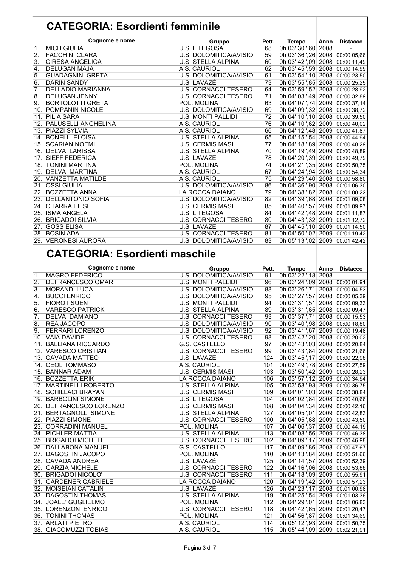#### CATEGORIA: Esordienti femminile

|                  | Cognome e nome             | Gruppo                        | Pett.           | Tempo                            | Anno | <b>Distacco</b> |
|------------------|----------------------------|-------------------------------|-----------------|----------------------------------|------|-----------------|
| $\overline{1}$ . | <b>MICH GIULIA</b>         | <b>U.S. LITEGOSA</b>          | 68              | 0h 03' 30",60 2008               |      |                 |
| $\overline{2}$ . | <b>FACCHINI CLARA</b>      | U.S. DOLOMITICA/AVISIO        | 59              | 0h 03' 36",26 2008 00:00:05,66   |      |                 |
| 3.               | <b>CIRESA ANGELICA</b>     | <b>U.S. STELLA ALPINA</b>     | 60              | 0h 03' 42",09 2008 00:00:11,49   |      |                 |
| $\overline{4}$ . | <b>DELUGAN MAJA</b>        | A.S. CAURIOL                  | 62              | 0h 03' 45",59 2008 00:00:14,99   |      |                 |
| 5.               | <b>GUADAGNINI GRETA</b>    | <b>U.S. DOLOMITICA/AVISIO</b> | 61              | 0h 03' 54", 10 2008 00:00:23, 50 |      |                 |
| 6.               | <b>DARIN SANDY</b>         | U.S. LAVAZĖ                   | 73              | 0h 03' 55",85 2008 00:00:25,25   |      |                 |
| 7.               | <b>DELLADIO MARIANNA</b>   | <b>U.S. CORNACCI TESERO</b>   | 64              | 0h 03' 59",52 2008 00:00:28,92   |      |                 |
| 8.               | <b>DELUGAN JENNY</b>       | <b>U.S. CORNACCI TESERO</b>   | 71              | 0h 04' 03",49 2008 00:00:32,89   |      |                 |
| 9.               | <b>BORTOLOTTI GRETA</b>    | POL. MOLINA                   | 63              | 0h 04' 07",74 2009 00:00:37,14   |      |                 |
|                  | 10. POMPANIN NICOLE        | U.S. DOLOMITICA/AVISIO        | 69              | 0h 04' 09",32 2008 00:00:38,72   |      |                 |
| 11.              | <b>PILIA SARA</b>          | <b>U.S. MONTI PALLIDI</b>     | $\overline{72}$ | 0h 04' 10",10 2008 00:00:39,50   |      |                 |
| l 12.            | <b>PALUSELLI ANGHELINA</b> | A.S. CAURIOL                  | 76              | 0h 04' 10",62 2009 00:00:40,02   |      |                 |
|                  | 13. PIAZZI SYLVIA          | A.S. CAURIOL                  | 66              | 0h 04' 12",48 2009 00:00:41,87   |      |                 |
| 14.              | <b>BONELLI ELOISA</b>      | <b>U.S. STELLA ALPINA</b>     | 65              | 0h 04' 15",54 2008 00:00:44,94   |      |                 |
|                  | 15. SCARIAN NOEMI          | <b>U.S. CERMIS MASI</b>       | 77              | 0h 04' 18",89 2009 00:00:48,29   |      |                 |
|                  | 16. DELVAI LARISSA         | U.S. STELLA ALPINA            | 70              | 0h 04' 19",49 2009 00:00:48,89   |      |                 |
|                  | 17. SIEFF FEDERICA         | U.S. LAVAZĖ                   | 78              | 0h 04' 20",39 2009 00:00:49,79   |      |                 |
|                  | 18. TONINI MARTINA         | POL. MOLINA                   | 74              | 0h 04' 21",35 2008 00:00:50,75   |      |                 |
|                  | 19. DELVAI MARTINA         | A.S. CAURIOL                  | 67              | 0h 04' 24",94 2008 00:00:54,34   |      |                 |
|                  | 20.   VANZETTA MATILDE     | A.S. CAURIOL                  | 75              | 0h 04' 29",40 2008 00:00:58,80   |      |                 |
| 21.              | <b>OSSI GIULIA</b>         | U.S. DOLOMITICA/AVISIO        | 86              | 0h 04' 36",90 2008 00:01:06,30   |      |                 |
| 22.              | <b>BOZZETTA ANNA</b>       | LA ROCCA DAIANO               | 79              | 0h 04' 38",82 2008 00:01:08,22   |      |                 |
| 23.              | <b>DELLANTONIO SOFIA</b>   | U.S. DOLOMITICA/AVISIO        | 82              | 0h 04' 39",68 2008 00:01:09,08   |      |                 |
|                  | 24. CHARRA ELISE           | <b>U.S. CERMIS MASI</b>       | 85              | 0h 04' 40",57 2009 00:01:09,97   |      |                 |
|                  | 25. ISMA ANGELA            | U.S. LITEGOSA                 | 84              | 0h 04' 42",48 2009 00:01:11,87   |      |                 |
| 26.              | <b>BRIGADOI SILVIA</b>     | <b>U.S. CORNACCI TESERO</b>   | 80              | 0h 04' 43",32 2009 00:01:12,72   |      |                 |
| 27.              | <b>GOSS ELISA</b>          | U.S. LAVAZĖ                   | 87              | 0h 04' 45",10 2009 00:01:14,50   |      |                 |
|                  | 28. BOSIN ADA              | <b>U.S. CORNACCI TESERO</b>   | 81              | 0h 04' 50",02 2009 00:01:19,42   |      |                 |
|                  | 29. VERONESI AURORA        | U.S. DOLOMITICA/AVISIO        | 83              | 0h 05' 13",02 2009 00:01:42,42   |      |                 |
|                  |                            |                               |                 |                                  |      |                 |

#### CATEGORIA: Esordienti maschile

|     | Cognome e nome           | Gruppo                        | Pett. | <b>Tempo</b>                     | Anno | <b>Distacco</b> |
|-----|--------------------------|-------------------------------|-------|----------------------------------|------|-----------------|
| 1.  | <b>MAGRO FEDERICO</b>    | U.S. DOLOMITICA/AVISIO        | 91    | 0h 03' 22", 18 2008              |      |                 |
| 2.  | <b>DEFRANCESCO OMAR</b>  | <b>U.S. MONTI PALLIDI</b>     | 96    | 0h 03' 24",09 2008 00:00:01,91   |      |                 |
| 3.  | <b>MORANDI LUCA</b>      | U.S. DOLOMITICA/AVISIO        | 88    | 0h 03' 26", 71 2008 00:00:04, 53 |      |                 |
| 4.  | <b>BUCCI ENRICO</b>      | <b>U.S. DOLOMITICA/AVISIO</b> | 95    | 0h 03' 27",57 2008 00:00:05,39   |      |                 |
| 5.  | <b>FIOROT SUEN</b>       | U.S. MONTI PALLIDI            | 94    | 0h 03' 31",51 2008 00:00:09,33   |      |                 |
| 6.  | <b>VARESCO PATRICK</b>   | <b>U.S. STELLA ALPINA</b>     | 89    | 0h 03' 31",65 2008 00:00:09,47   |      |                 |
| 7.  | <b>DELVAI DAMIANO</b>    | <b>U.S. CORNACCI TESERO</b>   | 93    | 0h 03' 37",71 2008 00:00:15,53   |      |                 |
| 8.  | <b>REA JACOPO</b>        | <b>U.S. DOLOMITICA/AVISIO</b> | 90    | 0h 03' 40",98 2008 00:00:18,80   |      |                 |
| 9.  | <b>FERRARI LORENZO</b>   | U.S. DOLOMITICA/AVISIO        | 92    | 0h 03' 41",67 2009 00:00:19,48   |      |                 |
|     | 10. VAIA DAVIDE          | <b>U.S. CORNACCI TESERO</b>   | 98    | 0h 03' 42",20 2008 00:00:20,02   |      |                 |
| 11. | BALLIANA RICCARDO        | G.S. CASTELLO                 | 97    | 0h 03' 43",03 2008 00:00:20,84   |      |                 |
|     | 12. VARESCO CRISTIAN     | <b>U.S. CORNACCI TESERO</b>   | 99    | 0h 03' 43",84 2009 00:00:21,66   |      |                 |
|     | 13. CAVADA MATTEO        | U.S. LAVAZÈ                   | 124   | 0h 03' 45",17 2009 00:00:22,98   |      |                 |
|     | 14. CEOL TOMMASO         | A.S. CAURIOL                  | 101   | 0h 03' 49",78 2008 00:00:27,59   |      |                 |
|     | 15. BANNAR ADAM          | <b>U.S. CERMIS MASI</b>       | 103   | 0h 03' 50",42 2009 00:00:28,23   |      |                 |
|     | 16. BOZZETTA ERIK        | LA ROCCA DAIANO               | 106   | 0h 03' 57",12 2009 00:00:34,94   |      |                 |
|     | 17. MARTINELLI ROBERTO   | <b>U.S. STELLA ALPINA</b>     | 105   | 0h 03' 58",93 2009 00:00:36,75   |      |                 |
|     | 18. SCHILLACI BRAYAN     | <b>U.S. CERMIS MASI</b>       | 109   | 0h 04' 01",03 2009 00:00:38,84   |      |                 |
|     | 19. BARBOLINI SIMONE     | U.S. LITEGOSA                 | 104   | 0h 04' 02",84 2008 00:00:40,66   |      |                 |
|     | 20. DEFRANCESCO LORENZO  | <b>U.S. CERMIS MASI</b>       | 108   | 0h 04' 04", 34 2009 00:00:42, 16 |      |                 |
|     | 21. BERTAGNOLLI SIMONE   | <b>U.S. STELLA ALPINA</b>     | 127   | 0h 04' 05",01 2009 00:00:42,83   |      |                 |
|     | 22. PIAZZI SIMONE        | <b>U.S. CORNACCI TESERO</b>   | 100   | 0h 04' 05",68 2009 00:00:43,50   |      |                 |
|     | 23. CORRADINI MANUEL     | POL. MOLINA                   | 107   | 0h 04' 06",37 2008 00:00:44,19   |      |                 |
|     | 24. PICHLER MATTIA       | <b>U.S. STELLA ALPINA</b>     | 113   | 0h 04' 08",56 2009 00:00:46,38   |      |                 |
|     | 25. BRIGADOI MICHELE     | <b>U.S. CORNACCI TESERO</b>   | 102   | 0h 04' 09",17 2009 00:00:46,98   |      |                 |
|     | 26. DALLABONA MANUEL     | G.S. CASTELLO                 | 117   | 0h 04' 09",86 2008 00:00:47,67   |      |                 |
|     | 27. DAGOSTIN JACOPO      | POL. MOLINA                   | 110   | 0h 04' 13",84 2008 00:00:51,66   |      |                 |
|     | 28. CAVADA ANDREA        | U.S. LAVAZĖ                   | 125   | 0h 04' 14",57 2008 00:00:52,39   |      |                 |
|     | 29. GARZIA MICHELE       | <b>U.S. CORNACCI TESERO</b>   | 122   | 0h 04' 16",06 2008 00:00:53,88   |      |                 |
|     | 30. BRIGADOI NICOLO'     | <b>U.S. CORNACCI TESERO</b>   | 111   | 0h 04' 18",09 2009 00:00:55,91   |      |                 |
|     | 31. GARDENER GABRIELE    | LA ROCCA DAIANO               | 120   | 0h 04' 19",42 2009 00:00:57,23   |      |                 |
|     | 32. MOISEIAN CATALIN     | U.S. LAVAZÈ                   | 126   | 0h 04' 23",17 2008 00:01:00,98   |      |                 |
|     | 33. DAGOSTIN THOMAS      | <b>U.S. STELLA ALPINA</b>     | 119   | 0h 04' 25",54 2009 00:01:03,36   |      |                 |
|     | 34. JOALE' GUGLIELMO     | POL. MOLINA                   | 112   | 0h 04' 29",01 2008 00:01:06,83   |      |                 |
|     | 35. LORENZONI ENRICO     | <b>U.S. CORNACCI TESERO</b>   | 118   | 0h 04' 42",65 2009 00:01:20,47   |      |                 |
|     | <b>36. TONINI THOMAS</b> | POL. MOLINA                   | 121   | 0h 04' 56",87 2008 00:01:34,69   |      |                 |
|     | 37. ARLATI PIETRO        | A.S. CAURIOL                  | 114   | 0h 05' 12",93 2009 00:01:50,75   |      |                 |
|     | 38. GIACOMUZZI TOBIAS    | A.S. CAURIOL                  | 115   | 0h 05' 44",09 2009 00:02:21,91   |      |                 |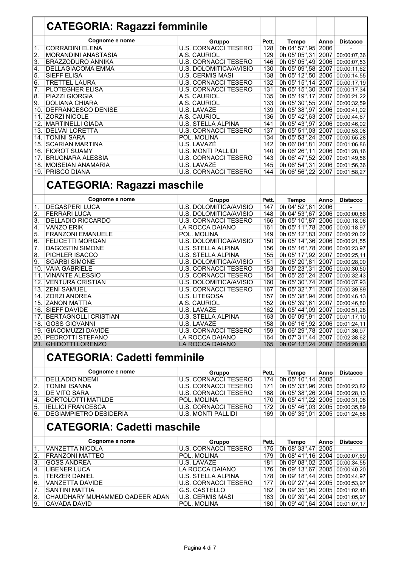|                  | <b>CATEGORIA: Ragazzi femminile</b>           |                                   |            |                                                                  |      |                  |
|------------------|-----------------------------------------------|-----------------------------------|------------|------------------------------------------------------------------|------|------------------|
|                  | Cognome e nome                                | Gruppo                            | Pett.      | <b>Tempo</b>                                                     | Anno | <b>Distacco</b>  |
| $\overline{1}$ . | <b>CORRADINI ELENA</b>                        | <b>U.S. CORNACCI TESERO</b>       | 128        | 0h 04' 57",95 2006                                               |      |                  |
| $\overline{2}$ . | MORANDINI ANASTASIA                           | A.S. CAURIOL                      | 129        | 0h 05' 05",31 2007 00:00:07,36                                   |      |                  |
| 3.               | <b>BRAZZODURO ANNIKA</b>                      | <b>U.S. CORNACCI TESERO</b>       | 146        | 0h 05' 05",49 2006 00:00:07,53                                   |      |                  |
| 4.               | DELLAGIACOMA EMMA                             | U.S. DOLOMITICA/AVISIO            | 130        | 0h 05' 09",58 2007                                               |      | 00:00:11,62      |
| $\overline{5}$ . | <b>SIEFF ELISA</b>                            | <b>U.S. CERMIS MASI</b>           | 138        | 0h 05' 12",50 2006 00:00:14,55                                   |      |                  |
| 6.               | <b>TRETTEL LAURA</b>                          | <b>U.S. CORNACCI TESERO</b>       | 132        | 0h 05' 15", 14 2007                                              |      | 00:00:17,19      |
| $\overline{7}$ . | PLOTEGHER ELISA                               | <b>U.S. CORNACCI TESERO</b>       | 131        | 0h 05' 15",30 2007                                               |      | 00:00:17,34      |
| 8.<br>9.         | PIAZZI GIORGIA<br><b>DOLIANA CHIARA</b>       | A.S. CAURIOL<br>A.S. CAURIOL      | 135<br>133 | 0h 05' 19", 17 2007<br>0h 05' 30",55 2007 00:00:32,59            |      | 00:00:21,22      |
| 10.              | <b>DEFRANCESCO DENISE</b>                     | U.S. LAVAZĖ                       | 139        | 0h 05' 38",97 2006 00:00:41,02                                   |      |                  |
| 11.              | <b>ZORZI NICOLE</b>                           | A.S. CAURIOL                      | 136        | 0h 05' 42",63 2007 00:00:44,67                                   |      |                  |
|                  | 12. MARTINELLI GIADA                          | U.S. STELLA ALPINA                | 141        | 0h 05' 43",97 2006 00:00:46,02                                   |      |                  |
|                  | 13. DELVAI LORETTA                            | <b>U.S. CORNACCI TESERO</b>       | 137        | 0h 05' 51",03 2007                                               |      | 00:00:53,08      |
|                  | 14. TONINI SARA                               | POL. MOLINA                       | 134        | 0h 05' 53", 24 2007                                              |      | 00:00:55,28      |
|                  | 15. SCARIAN MARTINA                           | U.S. LAVAZĖ                       | 142        | 0h 06' 04",81 2007                                               |      | 00:01:06,86      |
|                  | 16. FIOROT SUAMY                              | <b>U.S. MONTI PALLIDI</b>         | 140        | 0h 06' 26", 11 2006 00:01:28, 16                                 |      |                  |
| 17.              | <b>BRUGNARA ALESSIA</b>                       | <b>U.S. CORNACCI TESERO</b>       | 143        | 0h 06' 47",52 2007 00:01:49,56                                   |      |                  |
|                  | 18. MOISEIAN ANAMARIA                         | U.S. LAVAZĖ                       | 145        | 0h 06' 54", 31 2006 00:01:56, 36                                 |      |                  |
|                  | 19. PRISCO DIANA                              | <b>U.S. CORNACCI TESERO</b>       | 144        | 0h 06' 56", 22 2007                                              |      | 00:01:58,27      |
|                  | <b>CATEGORIA: Ragazzi maschile</b>            |                                   |            |                                                                  |      |                  |
|                  | Cognome e nome                                | Gruppo                            | Pett.      | <b>Tempo</b>                                                     | Anno | <b>Distacco</b>  |
| $\overline{1}$ . | <b>DEGASPERI LUCA</b>                         | U.S. DOLOMITICA/AVISIO            | 147        | 0h 04' 52",81 2006                                               |      |                  |
| 2.               | <b>FERRARI LUCA</b>                           | <b>U.S. DOLOMITICA/AVISIO</b>     | 148        | 0h 04' 53",67 2006 00:00:00,86                                   |      |                  |
| $\overline{3}$ . | <b>DELLADIO RICCARDO</b>                      | <b>U.S. CORNACCI TESERO</b>       | 166        | 0h 05' 10",87 2006 00:00:18,06                                   |      |                  |
| 4.               | <b>VANZO ERIK</b>                             | LA ROCCA DAIANO                   | 161        | 0h 05' 11",78 2006 00:00:18,97                                   |      |                  |
| 5.               | <b>FRANZONI EMANUELE</b>                      | POL. MOLINA                       | 149        | 0h 05' 12",83 2007 00:00:20,02                                   |      |                  |
| 6.               | <b>FELICETTI MORGAN</b>                       | U.S. DOLOMITICA/AVISIO            | 150        | 0h 05' 14",36 2006 00:00:21,55                                   |      |                  |
| 7.               | <b>DAGOSTIN SIMONE</b>                        | U.S. STELLA ALPINA                | 156        | 0h 05' 16",78 2006 00:00:23,97                                   |      |                  |
| 8.               | PICHLER ISACCO                                | U.S. STELLA ALPINA                | 155        | 0h 05' 17",92 2007 00:00:25,11                                   |      |                  |
| 9.               | <b>SGARBI SIMONE</b>                          | U.S. DOLOMITICA/AVISIO            | 151        | 0h 05' 20",81 2007 00:00:28,00                                   |      |                  |
|                  | 10. VAIA GABRIELE                             | <b>U.S. CORNACCI TESERO</b>       | 153        | 0h 05' 23",31 2006 00:00:30,50                                   |      |                  |
| 11.              | <b>VINANTE ALESSIO</b>                        | <b>U.S. CORNACCI TESERO</b>       | 154        | 0h 05' 25", 24 2007                                              |      | 00:00:32,43      |
|                  | 12. VENTURA CRISTIAN                          | U.S. DOLOMITICA/AVISIO            | 160        | 0h 05' 30",74 2006 00:00:37,93                                   |      |                  |
|                  | 13. ZENI SAMUEL                               | <b>U.S. CORNACCI TESERO</b>       | 167        | 0h 05' 32",71                                                    |      | 2007 00:00:39,89 |
| 14.              | <b>ZORZI ANDREA</b>                           | U.S. LITEGOSA                     | 157        | 0h 05' 38",94 2006 00:00:46,13                                   |      |                  |
| 15.              | <b>ZANON MATTIA</b>                           | A.S. CAURIOL                      | 152        | 0h 05' 39",61 2007 00:00:46,80                                   |      |                  |
|                  | 16. SIEFF DAVIDE                              | U.S. LAVAZĖ                       | 162        | 0h 05' 44",09 2007 00:00:51,28                                   |      |                  |
|                  | 17. BERTAGNOLLI CRISTIAN<br>18. GOSS GIOVANNI | U.S. STELLA ALPINA<br>U.S. LAVAZĖ | 163<br>158 | 0h 06' 09",91 2007 00:01:17,10                                   |      |                  |
|                  | 19. GIACOMUZZI DAVIDE                         | <b>U.S. CORNACCI TESERO</b>       | 159        | 0h 06' 16",92 2006 00:01:24,11<br>0h 06' 29",78 2007 00:01:36,97 |      |                  |
|                  | 20. PEDROTTI STEFANO                          | LA ROCCA DAIANO                   | 164        | 0h 07' 31",44 2007 00:02:38,62                                   |      |                  |
|                  | 21. GHIDOTTI LORENZO                          | LA ROCCA DAIANO                   | 165        | 0h 09' 13",24 2007 00:04:20,43                                   |      |                  |
|                  |                                               |                                   |            |                                                                  |      |                  |
|                  | <b>CATEGORIA: Cadetti femminile</b>           |                                   |            |                                                                  |      |                  |
|                  | Cognome e nome                                | Gruppo                            | Pett.      | Tempo                                                            | Anno | <b>Distacco</b>  |
| 1.               | <b>DELLADIO NOEMI</b>                         | <b>U.S. CORNACCI TESERO</b>       | 174        | 0h 05' 10", 14 2005                                              |      |                  |
| 2.               | <b>TONINI ISANNA</b>                          | <b>U.S. CORNACCI TESERO</b>       | 171        | 0h 05' 33",96 2005 00:00:23,82                                   |      |                  |
| 3.               | DE VITO SARA                                  | <b>U.S. CORNACCI TESERO</b>       | 168        | 0h 05' 38", 26 2004 00:00:28, 13                                 |      |                  |
| 4.               | <b>BORTOLOTTI MATILDE</b>                     | POL. MOLINA                       | 170        | 0h 05' 41",22 2005 00:00:31,08                                   |      |                  |
| 5.               | <b>IELLICI FRANCESCA</b>                      | <b>U.S. CORNACCI TESERO</b>       | 172        | 0h 05' 46",03 2005 00:00:35,89                                   |      |                  |
| 6.               | <b>DEGIAMPIETRO DESIDERIA</b>                 | <b>U.S. MONTI PALLIDI</b>         | 169        | 0h 06' 35",01 2005 00:01:24,88                                   |      |                  |
|                  | <b>CATEGORIA: Cadetti maschile</b>            |                                   |            |                                                                  |      |                  |
|                  | Cognome e nome                                | Gruppo                            | Pett.      | Tempo                                                            | Anno | <b>Distacco</b>  |
| 1.               | <b>VANZETTA NICOLA</b>                        | <b>U.S. CORNACCI TESERO</b>       | 175        | 0h 08' 33", 47 2005                                              |      |                  |
| 2.               | <b>FRANZONI MATTEO</b>                        | POL. MOLINA                       | 179        | 0h 08' 41", 16 2004 00:00:07, 69                                 |      |                  |
| 3.               | <b>GOSS ANDREA</b>                            | U.S. LAVAZĖ                       | 181        | 0h 09' 08",02 2005 00:00:34,55                                   |      |                  |
| 4.               | <b>LIBENER LUCA</b>                           | LA ROCCA DAIANO                   | 176        | 0h 09' 13",67 2005 00:00:40,20                                   |      |                  |
| 5.               | <b>TERZER DANIEL</b>                          | U.S. STELLA ALPINA                | 178        | 0h 09' 18",44 2005 00:00:44,97                                   |      |                  |
| 6.               | <b>VANZETTA DAVIDE</b>                        | <b>U.S. CORNACCI TESERO</b>       | 177        | 0h 09' 27",44 2005 00:00:53,97                                   |      |                  |
| 7.               | <b>SANTINI MATTIA</b>                         | G.S. CASTELLO                     | 182        | 0h 09' 35",95 2005 00:01:02,48                                   |      |                  |
| 8.               | CHAUDHARY MUHAMMED QADEER ADAN                | <b>U.S. CERMIS MASI</b>           | 183        | 0h 09' 39",44 2004 00:01:05,97                                   |      |                  |
| 9.               | <b>CAVADA DAVID</b>                           | POL. MOLINA                       | 180        | 0h 09' 40",64 2004 00:01:07,17                                   |      |                  |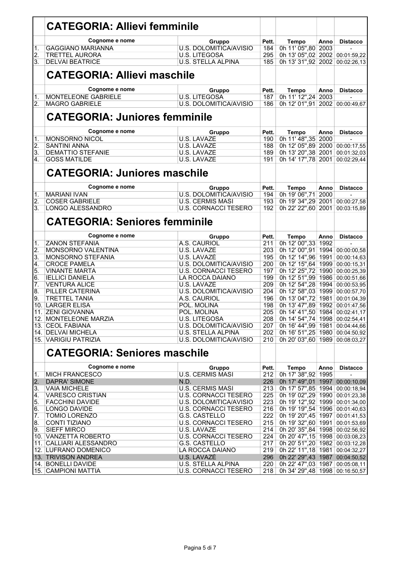|                  | <b>CATEGORIA: Allievi femminile</b>            |                                                |            |                                                      |      |                            |
|------------------|------------------------------------------------|------------------------------------------------|------------|------------------------------------------------------|------|----------------------------|
|                  | Cognome e nome                                 | Gruppo                                         | Pett.      | <b>Tempo</b>                                         | Anno | <b>Distacco</b>            |
| 1.               | <b>GAGGIANO MARIANNA</b>                       | U.S. DOLOMITICA/AVISIO                         | 184        | 0h 11' 05",80 2003                                   |      |                            |
| 2.               | <b>TRETTEL AURORA</b>                          | <b>U.S. LITEGOSA</b>                           | 295        | 0h 13' 05",02 2002                                   |      | 00:01:59,22                |
| 3.               | <b>DELVAI BEATRICE</b>                         | U.S. STELLA ALPINA                             | 185        | 0h 13' 31",92 2002                                   |      | 00:02:26,13                |
|                  | <b>CATEGORIA: Allievi maschile</b>             |                                                |            |                                                      |      |                            |
|                  | Cognome e nome                                 | Gruppo                                         | Pett.      | Tempo                                                | Anno | <b>Distacco</b>            |
| 1.               | <b>MONTELEONE GABRIELE</b>                     | U.S. LITEGOSA                                  | 187        | 0h 11' 12", 24 2003                                  |      |                            |
| $\overline{2}$ . | <b>MAGRO GABRIELE</b>                          | U.S. DOLOMITICA/AVISIO                         | 186        | 0h 12' 01",91 2002                                   |      | 00:00:49.67                |
|                  | <b>CATEGORIA: Juniores femminile</b>           |                                                |            |                                                      |      |                            |
|                  | Cognome e nome                                 | Gruppo                                         | Pett.      | Tempo                                                | Anno | <b>Distacco</b>            |
| 1.               | <b>MONSORNO NICOL</b>                          | U.S. LAVAZĖ                                    | 190        | 0h 11' 48", 35 2000                                  |      |                            |
| 2.               | <b>SANTINI ANNA</b>                            | U.S. LAVAZĖ                                    | 188        | 0h 12' 05",89 2000                                   |      | 00:00:17,55                |
| 3.               | <b>DEMATTIO STEFANIE</b>                       | U.S. LAVAZĖ                                    | 189        | 0h 13' 20", 38 2001                                  |      | 00:01:32,03                |
| 4.               | <b>GOSS MATILDE</b>                            | U.S. LAVAZÈ                                    | 191        | 0h 14' 17",78 2001                                   |      | 00:02:29,44                |
|                  | <b>CATEGORIA: Juniores maschile</b>            |                                                |            |                                                      |      |                            |
|                  | Cognome e nome                                 | Gruppo                                         | Pett.      | Tempo                                                | Anno | <b>Distacco</b>            |
| $\overline{1}$ . | <b>MARIANI IVAN</b>                            | <b>U.S. DOLOMITICA/AVISIO</b>                  | 194        | 0h 19' 06",71                                        | 2000 |                            |
| $\overline{2}$ . | <b>COSER GABRIELE</b>                          | <b>U.S. CERMIS MASI</b>                        | 193        | 0h 19' 34", 29 2001                                  |      | 00:00:27,58                |
| 3.               | <b>LONGO ALESSANDRO</b>                        | <b>U.S. CORNACCI TESERO</b>                    | 192        | 0h 22' 22",60 2001                                   |      | 00:03:15,89                |
|                  | <b>CATEGORIA: Seniores femminile</b>           |                                                |            |                                                      |      |                            |
|                  | Cognome e nome                                 | Gruppo                                         | Pett.      | Tempo                                                | Anno | <b>Distacco</b>            |
| 1.               | <b>ZANON STEFANIA</b>                          | A.S. CAURIOL                                   | 211        | 0h 12' 00", 33 1992                                  |      |                            |
| $\overline{2}$ . | <b>MONSORNO VALENTINA</b>                      | U.S. LAVAZĖ                                    | 203        | 0h 12' 00", 91 1994                                  |      | 00:00:00,58                |
| 3.               | MONSORNO STEFANIA                              | U.S. LAVAZĖ                                    | 195        | 0h 12' 14",96 1991                                   |      | 00:00:14,63                |
| 4.               | <b>CROCE PAMELA</b>                            | U.S. DOLOMITICA/AVISIO                         | 200        | 0h 12' 15",64 1999                                   |      | 00:00:15,31                |
| 5.<br>6.         | <b>VINANTE MARTA</b><br><b>IELLICI DANIELA</b> | <b>U.S. CORNACCI TESERO</b><br>LA ROCCA DAIANO | 197<br>199 | 0h 12' 25",72<br>0h 12' 51",99 1986                  | 1990 | 00:00:25,39<br>00:00:51,66 |
| 7.               | <b>VENTURA ALICE</b>                           | U.S. LAVAZĖ                                    | 209        | 0h 12' 54", 28 1994                                  |      | 00:00:53,95                |
| 8.               | PILLER CATERINA                                | <b>U.S. DOLOMITICA/AVISIO</b>                  | 204        | 0h 12' 58",03 1999                                   |      | 00:00:57,70                |
| 9.               | <b>TRETTEL TANIA</b>                           | A.S. CAURIOL                                   | 196        | 0h 13' 04",72                                        | 1981 | 00:01:04,39                |
| 10.              | LARGER ELISA                                   | POL. MOLINA                                    | 198        | 0h 13' 47",89 1992                                   |      | 00:01:47,56                |
|                  | 11. ZENI GIOVANNA                              | POL. MOLINA                                    | 205        | 0h 14' 41",50 1984 00:02:41,17                       |      |                            |
|                  | 12. MONTELEONE MARZIA                          | <b>U.S. LITEGOSA</b>                           | 208        | 0h 14' 54",74 1998 00:02:54,41                       |      |                            |
|                  | 13. CEOL FABIANA                               | U.S. DOLOMITICA/AVISIO                         | 207        | 0h 16' 44",99 1981                                   |      | 00:04:44,66                |
|                  | 14. DELVAI MICHELA                             | U.S. STELLA ALPINA                             | 202        | 0h 16' 51", 25 1980                                  |      | 00:04:50,92                |
|                  | 15. VARIGIU PATRIZIA                           | U.S. DOLOMITICA/AVISIO                         | 210        | 0h 20' 03",60 1989                                   |      | 00:08:03,27                |
|                  | <b>CATEGORIA: Seniores maschile</b>            |                                                |            |                                                      |      |                            |
|                  | Cognome e nome                                 | Gruppo                                         | Pett.      | Tempo                                                | Anno | <b>Distacco</b>            |
| 1.               | <b>MICH FRANCESCO</b>                          | <b>U.S. CERMIS MASI</b>                        | 212        | 0h 17' 38", 92 1995                                  |      |                            |
| 2.               | <b>DAPRA' SIMONE</b>                           | N.D.                                           | 226        | 0h 17' 49",01 1997 00:00:10,09                       |      |                            |
| 3.               | <b>VAIA MICHELE</b>                            | <b>U.S. CERMIS MASI</b>                        | 213        | 0h 17' 57",85 1994 00:00:18,94                       |      |                            |
| 4.               | <b>VARESCO CRISTIAN</b>                        | <b>U.S. CORNACCI TESERO</b>                    | 225        | 0h 19' 02", 29 1990 00:01:23, 38                     |      |                            |
| 5.               | <b>FACCHINI DAVIDE</b>                         | U.S. DOLOMITICA/AVISIO                         | 223        | 0h 19' 12",92 1999                                   |      | 00:01:34,00                |
| 6.               | LONGO DAVIDE                                   | <b>U.S. CORNACCI TESERO</b>                    | 216        | 0h 19' 19",54 1996 00:01:40,63                       |      |                            |
| 7.               | <b>TOMIO LORENZO</b>                           | G.S. CASTELLO                                  | 222        | 0h 19' 20",45 1997                                   |      | 00:01:41,53                |
| 8.<br>9.         | <b>CONTI TIZIANO</b><br><b>SIEFF MIRCO</b>     | <b>U.S. CORNACCI TESERO</b><br>U.S. LAVAZE     | 215<br>214 | 0h 19' 32",60 1991<br>0h 20' 35",84 1998 00:02:56,92 |      | 00:01:53,69                |
|                  | 10. VANZETTA ROBERTO                           | <b>U.S. CORNACCI TESERO</b>                    | 224        | 0h 20' 47",15 1998 00:03:08,23                       |      |                            |
|                  | 11. CALLIARI ALESSANDRO                        | G.S. CASTELLO                                  | 217        | 0h 20' 51", 20 1982 00:03:12, 28                     |      |                            |
|                  | 12. LUFRANO DOMENICO                           | LA ROCCA DAIANO                                | 219        | 0h 22' 11", 18 1981 00:04:32, 27                     |      |                            |
|                  | 13. TRIVISON ANDREA                            | U.S. LAVAZE                                    | 296        | 0h 22' 29",43 1987 00:04:50,52                       |      |                            |
|                  | 14. BONELLI DAVIDE                             | U.S. STELLA ALPINA                             | 220        | 0h 22' 47",03 1987 00:05:08,11                       |      |                            |
|                  | 15. CAMPIONI MATTIA                            | U.S. CORNACCI TESERO                           | 218        | 0h 34' 29",48 1998 00:16:50,57                       |      |                            |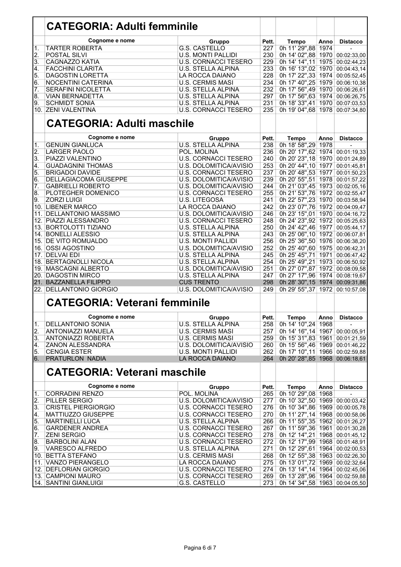|                  | <b>CATEGORIA: Adulti femminile</b>   |                               |       |                                      |      |                  |
|------------------|--------------------------------------|-------------------------------|-------|--------------------------------------|------|------------------|
|                  | Cognome e nome                       | Gruppo                        | Pett. | <b>Tempo</b>                         | Anno | <b>Distacco</b>  |
| 1.               | <b>TARTER ROBERTA</b>                | G.S. CASTELLO                 | 227   | 0h 11' 29",88                        | 1974 |                  |
| 2.               | <b>POSTAL SILVI</b>                  | <b>U.S. MONTI PALLIDI</b>     | 230   | 0h 14' 02",88 1970 00:02:33,00       |      |                  |
| $\overline{3}$ . | <b>CAGNAZZO KATIA</b>                | <b>U.S. CORNACCI TESERO</b>   | 229   | 0h 14' 14", 11                       | 1975 | 00:02:44,23      |
| 4.               | <b>FACCHINI CLARITA</b>              | U.S. STELLA ALPINA            | 233   | 0h 16' 13",02 1970                   |      | 00:04:43,14      |
|                  |                                      |                               |       |                                      |      |                  |
| 5.               | <b>DAGOSTIN LORETTA</b>              | LA ROCCA DAIANO               | 228   | 0h 17' 22", 33                       | 1974 | 00:05:52,45      |
| 6.               | <b>NOCENTINI CATERINA</b>            | <b>U.S. CERMIS MASI</b>       | 234   | 0h 17' 40",25                        | 1979 | 00:06:10,38      |
| $\overline{7}$ . | <b>SERAFINI NICOLETTA</b>            | <b>U.S. STELLA ALPINA</b>     | 232   | 0h 17' 56",49 1970                   |      | 00:06:26,61      |
| 8.               | <b>VIAN BERNADETTA</b>               | U.S. STELLA ALPINA            | 297   | 0h 17' 56",63 1974                   |      | 00:06:26,75      |
| 9.               | <b>SCHMIDT SONIA</b>                 | <b>U.S. STELLA ALPINA</b>     | 231   | 0h 18' 33",41                        | 1970 | 00:07:03,53      |
|                  | 10. ZENI VALENTINA                   | <b>U.S. CORNACCI TESERO</b>   | 235   | 0h 19' 04",68 1978                   |      | 00:07:34,80      |
|                  | <b>CATEGORIA: Adulti maschile</b>    |                               |       |                                      |      |                  |
|                  | Cognome e nome                       | Gruppo                        | Pett. | <b>Tempo</b>                         | Anno | <b>Distacco</b>  |
| 1.               | <b>GENUIN GIANLUCA</b>               | <b>U.S. STELLA ALPINA</b>     | 238   | 0h 18' 58",29                        | 1978 |                  |
| 2.               | <b>LARGER PAOLO</b>                  | POL. MOLINA                   | 236   | 0h 20' 17",62 1974 00:01:19,33       |      |                  |
| $\overline{3}$ . | PIAZZI VALENTINO                     | <b>U.S. CORNACCI TESERO</b>   | 240   | 0h 20' 23", 18                       | 1970 | 00:01:24,89      |
| 4.               | <b>GUADAGNINI THOMAS</b>             | U.S. DOLOMITICA/AVISIO        | 253   | 0h 20' 44", 10 1977                  |      | 00:01:45,81      |
| 5.               |                                      |                               | 237   |                                      |      |                  |
|                  | <b>BRIGADOI DAVIDE</b>               | <b>U.S. CORNACCI TESERO</b>   |       | 0h 20' 48",53                        | 1977 | 00:01:50,23      |
| 6.               | <b>DELLAGIACOMA GIUSEPPE</b>         | <b>U.S. DOLOMITICA/AVISIO</b> | 239   | 0h 20' 55",51                        | 1978 | 00:01:57,22      |
| 7.               | <b>GABRIELLI ROBERTO</b>             | U.S. DOLOMITICA/AVISIO        | 244   | 0h 21' 03",45 1973                   |      | 00:02:05,16      |
| 8.               | PLOTEGHER DOMENICO                   | <b>U.S. CORNACCI TESERO</b>   | 255   | 0h 21' 53",76                        | 1972 | 00:02:55,47      |
| 9.               | <b>ZORZI LUIGI</b>                   | <b>U.S. LITEGOSA</b>          | 241   | 0h 22' 57", 23                       |      | 1970 00:03:58,94 |
| 10.              | <b>LIBENER MARCO</b>                 | LA ROCCA DAIANO               | 242   | 0h 23' 07", 76 1972                  |      | 00:04:09,47      |
| 11.              | <b>DELLANTONIO MASSIMO</b>           | U.S. DOLOMITICA/AVISIO        | 246   | 0h 23' 15",01                        | 1970 | 00:04:16,72      |
|                  | 12. PIAZZI ALESSANDRO                | <b>U.S. CORNACCI TESERO</b>   | 248   | 0h 24' 23",92                        |      | 1972 00:05:25,63 |
|                  | 13. BORTOLOTTI TIZIANO               | <b>U.S. STELLA ALPINA</b>     | 250   | 0h 24' 42",46                        | 1977 | 00:05:44,17      |
|                  | 14. BONELLI ALESSIO                  | U.S. STELLA ALPINA            | 243   | 0h 25' 06", 10 1972                  |      | 00:06:07,81      |
|                  | 15. DE VITO ROMUALDO                 | <b>U.S. MONTI PALLIDI</b>     | 256   | 0h 25' 36",50 1976                   |      | 00:06:38,20      |
|                  | 16. OSSI AGOSTINO                    | U.S. DOLOMITICA/AVISIO        | 252   | 0h 25' 40",60 1975                   |      | 00:06:42,31      |
|                  | 17. DELVAI EDI                       | <b>U.S. STELLA ALPINA</b>     | 245   | 0h 25' 45", 71                       | 1971 | 00:06:47,42      |
|                  | 18. BERTAGNOLLI NICOLA               | <b>U.S. STELLA ALPINA</b>     | 254   | 0h 25' 49",21                        | 1973 | 00:06:50,92      |
|                  | 19. MASCAGNI ALBERTO                 | U.S. DOLOMITICA/AVISIO        | 251   | 0h 27' 07",87                        |      | 1972 00:08:09,58 |
|                  | 20. DAGOSTIN MIRCO                   | <b>U.S. STELLA ALPINA</b>     | 247   | 0h 27' 17",96 1974 00:08:19,67       |      |                  |
|                  |                                      |                               |       | 0h 28' 30", 15 1974 00:09:31,86      |      |                  |
|                  | 21. BAZZANELLA FILIPPO               | <b>CUS TRENTO</b>             | 298   |                                      |      |                  |
|                  | 22. DELLANTONIO GIORGIO              | U.S. DOLOMITICA/AVISIO        | 249   | 0h 29' 55", 37 1972 00:10:57, 08     |      |                  |
|                  | <b>CATEGORIA: Veterani femminile</b> |                               |       |                                      |      |                  |
|                  | Cognome e nome                       | Gruppo                        | Pett. | <b>Tempo</b>                         | Anno | <b>Distacco</b>  |
| $\mathbf{1}$ .   | DELLANTONIO SONIA                    | <b>U.S. STELLA ALPINA</b>     | 258   | 0h 14' 10", 24 1968                  |      |                  |
| 2.               | <b>ANTONIAZZI MANUELA</b>            | <b>U.S. CERMIS MASI</b>       | 257   | 0h 14' 16", 14 1967 00:00:05, 91     |      |                  |
| 3.               | <b>ANTONIAZZI ROBERTA</b>            | <b>U.S. CERMIS MASI</b>       | 259   | 0h 15' 31",83 1961 00:01:21,59       |      |                  |
| 4.               | <b>ZANON ALESSANDRA</b>              | U.S. DOLOMITICA/AVISIO        | 260   | 0h 15' 56",46 1969 00:01:46,22       |      |                  |
| 5.               | <b>CENGIA ESTER</b>                  | <b>U.S. MONTI PALLIDI</b>     | 262   | 0h 17' 10", 11 1966 00:02:59,88      |      |                  |
| 6.               | PRATURLON NADIA                      | LA ROCCA DAIANO               | 264   | 0h 20' 28", 85 1968 00:06:18, 61     |      |                  |
|                  | <b>CATEGORIA: Veterani maschile</b>  |                               |       |                                      |      |                  |
|                  | Cognome e nome                       |                               | Pett. | <b>Tempo</b>                         | Anno | <b>Distacco</b>  |
| 1.               | <b>CORRADINI RENZO</b>               | Gruppo<br>POL. MOLINA         | 265   | 0h 10' 29",08 1968                   |      |                  |
|                  |                                      |                               |       |                                      |      |                  |
| 2.               | PILLER SERGIO                        | U.S. DOLOMITICA/AVISIO        | 277   | 0h 10' 32",50 1969 00:00:03,42       |      |                  |
| 3.               | <b>CRISTEL PIERGIORGIO</b>           | <b>U.S. CORNACCI TESERO</b>   | 276   | 0h 10' 34",86 1969 00:00:05,78       |      |                  |
| 4.               | <b>MATTIUZZO GIUSEPPE</b>            | <b>U.S. CORNACCI TESERO</b>   | 270   | 0h 11' 27",14 1968 00:00:58,06       |      |                  |
| 5.               | <b>MARTINELLI LUCA</b>               | U.S. STELLA ALPINA            | 266   | 0h 11' 55", 35 1962 00:01:26, 27     |      |                  |
| 6.               | <b>GARDENER ANDREA</b>               | <b>U.S. CORNACCI TESERO</b>   | 267   | 0h 11' 59",36 1961 00:01:30,28       |      |                  |
| 7.               | <b>ZENI SERGIO</b>                   | <b>U.S. CORNACCI TESERO</b>   | 278   | 0h 12' 14",21 1968 00:01:45,12       |      |                  |
| 8.               | <b>BARBOLINI ALAN</b>                | <b>U.S. CORNACCI TESERO</b>   | 272   | 0h 12' 17",99 1968 00:01:48,91       |      |                  |
| 9.               | <b>VARESCO ALFREDO</b>               | <b>U.S. STELLA ALPINA</b>     | 271   | 0h 12' 29",61 1964 00:02:00,53       |      |                  |
|                  | 10. BETTA STEFANO                    | <b>U.S. CERMIS MASI</b>       | 268   | 0h 12' 55",38 1963 00:02:26,30       |      |                  |
|                  | 11. VANZO PIERANGELO                 | LA ROCCA DAIANO               | 275   | 0h 13' 01",72 1969 00:02:32,64       |      |                  |
|                  | 12. DEFLORIAN GIORGIO                | <b>U.S. CORNACCI TESERO</b>   | 274   | 0h 13' 14", 14   1964   00:02:45, 06 |      |                  |
|                  | 13. CAMPIONI MAURO                   | <b>U.S. CORNACCI TESERO</b>   | 269   | 0h 13' 28",96 1964 00:02:59,88       |      |                  |
|                  | 14. SANTINI GIANLUIGI                | G.S. CASTELLO                 | 273   | 0h 14' 34",58 1963 00:04:05,50       |      |                  |